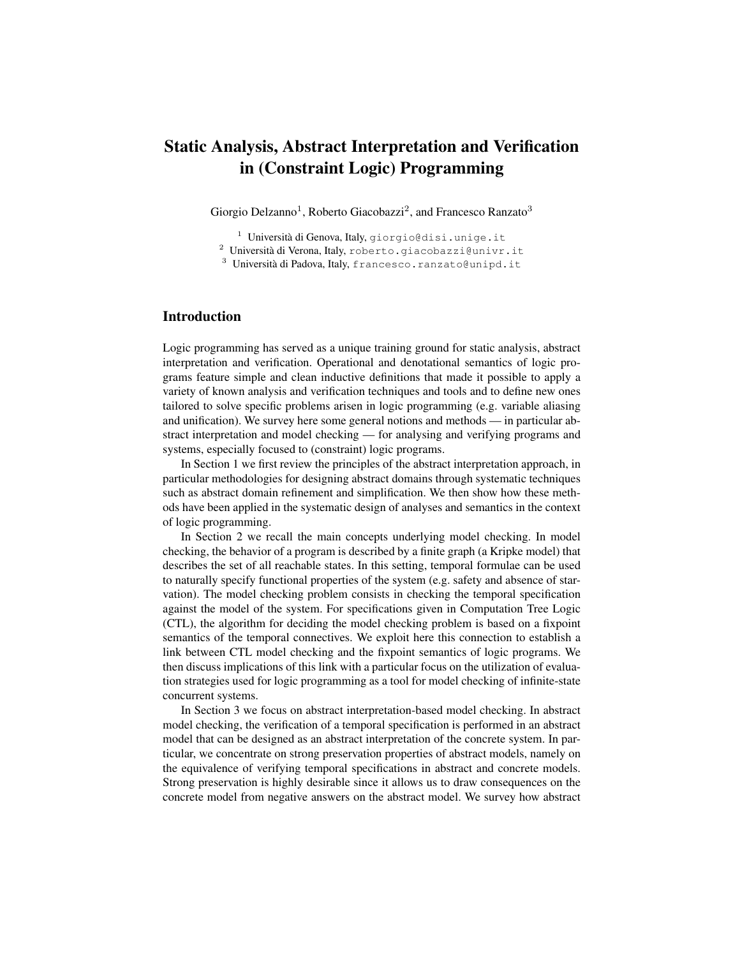# Static Analysis, Abstract Interpretation and Verification in (Constraint Logic) Programming

Giorgio Delzanno<sup>1</sup>, Roberto Giacobazzi<sup>2</sup>, and Francesco Ranzato<sup>3</sup>

 $1$  Università di Genova, Italy, giorgio@disi.unige.it

 $2$  Università di Verona, Italy, roberto.giacobazzi@univr.it

 $3$  Università di Padova, Italy, francesco.ranzato@unipd.it

# Introduction

Logic programming has served as a unique training ground for static analysis, abstract interpretation and verification. Operational and denotational semantics of logic programs feature simple and clean inductive definitions that made it possible to apply a variety of known analysis and verification techniques and tools and to define new ones tailored to solve specific problems arisen in logic programming (e.g. variable aliasing and unification). We survey here some general notions and methods — in particular abstract interpretation and model checking — for analysing and verifying programs and systems, especially focused to (constraint) logic programs.

In Section 1 we first review the principles of the abstract interpretation approach, in particular methodologies for designing abstract domains through systematic techniques such as abstract domain refinement and simplification. We then show how these methods have been applied in the systematic design of analyses and semantics in the context of logic programming.

In Section 2 we recall the main concepts underlying model checking. In model checking, the behavior of a program is described by a finite graph (a Kripke model) that describes the set of all reachable states. In this setting, temporal formulae can be used to naturally specify functional properties of the system (e.g. safety and absence of starvation). The model checking problem consists in checking the temporal specification against the model of the system. For specifications given in Computation Tree Logic (CTL), the algorithm for deciding the model checking problem is based on a fixpoint semantics of the temporal connectives. We exploit here this connection to establish a link between CTL model checking and the fixpoint semantics of logic programs. We then discuss implications of this link with a particular focus on the utilization of evaluation strategies used for logic programming as a tool for model checking of infinite-state concurrent systems.

In Section 3 we focus on abstract interpretation-based model checking. In abstract model checking, the verification of a temporal specification is performed in an abstract model that can be designed as an abstract interpretation of the concrete system. In particular, we concentrate on strong preservation properties of abstract models, namely on the equivalence of verifying temporal specifications in abstract and concrete models. Strong preservation is highly desirable since it allows us to draw consequences on the concrete model from negative answers on the abstract model. We survey how abstract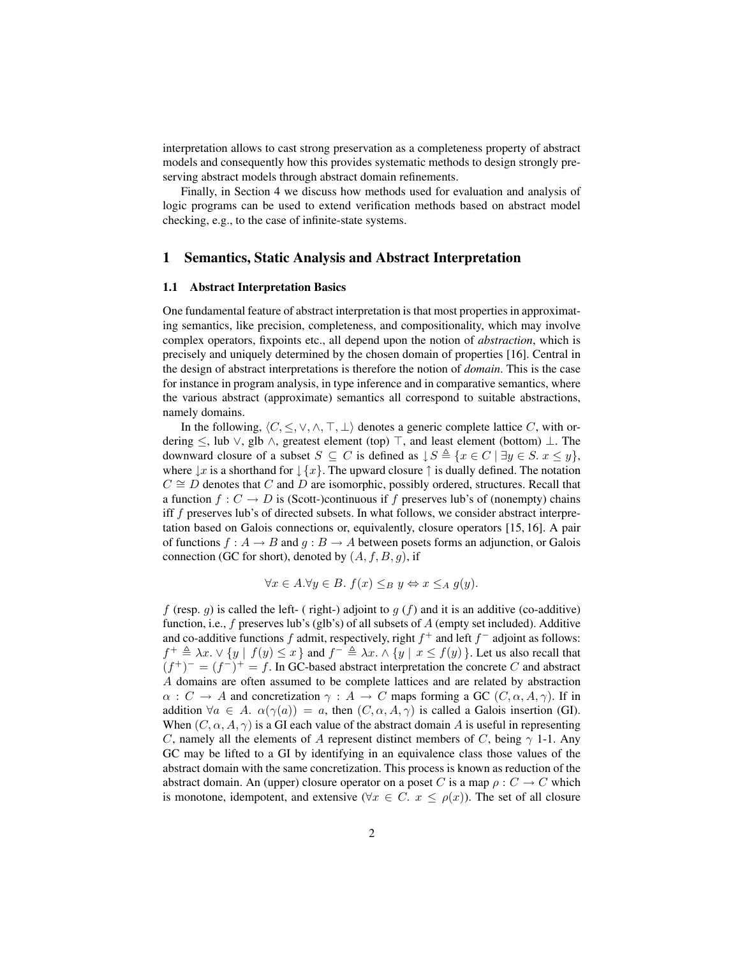interpretation allows to cast strong preservation as a completeness property of abstract models and consequently how this provides systematic methods to design strongly preserving abstract models through abstract domain refinements.

Finally, in Section 4 we discuss how methods used for evaluation and analysis of logic programs can be used to extend verification methods based on abstract model checking, e.g., to the case of infinite-state systems.

# 1 Semantics, Static Analysis and Abstract Interpretation

## 1.1 Abstract Interpretation Basics

One fundamental feature of abstract interpretation is that most properties in approximating semantics, like precision, completeness, and compositionality, which may involve complex operators, fixpoints etc., all depend upon the notion of *abstraction*, which is precisely and uniquely determined by the chosen domain of properties [16]. Central in the design of abstract interpretations is therefore the notion of *domain*. This is the case for instance in program analysis, in type inference and in comparative semantics, where the various abstract (approximate) semantics all correspond to suitable abstractions, namely domains.

In the following,  $\langle C, \leq, \vee, \wedge, \top, \bot \rangle$  denotes a generic complete lattice C, with ordering  $\le$ , lub  $\vee$ , glb  $\wedge$ , greatest element (top)  $\top$ , and least element (bottom)  $\bot$ . The downward closure of a subset  $S \subseteq C$  is defined as  $\downarrow S \triangleq \{x \in C \mid \exists y \in S, x \leq y\},\$ where  $\downarrow x$  is a shorthand for  $\downarrow \{x\}$ . The upward closure  $\uparrow$  is dually defined. The notation  $C \cong D$  denotes that C and D are isomorphic, possibly ordered, structures. Recall that a function  $f: C \to D$  is (Scott-)continuous if f preserves lub's of (nonempty) chains iff f preserves lub's of directed subsets. In what follows, we consider abstract interpretation based on Galois connections or, equivalently, closure operators [15, 16]. A pair of functions  $f : A \to B$  and  $q : B \to A$  between posets forms an adjunction, or Galois connection (GC for short), denoted by  $(A, f, B, g)$ , if

$$
\forall x \in A. \forall y \in B. \ f(x) \leq_B y \Leftrightarrow x \leq_A g(y).
$$

f (resp. g) is called the left- ( right-) adjoint to  $g(f)$  and it is an additive (co-additive) function, i.e.,  $f$  preserves lub's (glb's) of all subsets of  $A$  (empty set included). Additive and co-additive functions f admit, respectively, right  $f^+$  and left  $f^-$  adjoint as follows:  $f^+ \triangleq \lambda x. \vee \{y \mid f(y) \leq x\}$  and  $f^- \triangleq \lambda x. \wedge \{y \mid x \leq f(y)\}\.$  Let us also recall that  $(f^+)^- = (f^-)^+ = f$ . In GC-based abstract interpretation the concrete C and abstract A domains are often assumed to be complete lattices and are related by abstraction  $\alpha: C \to A$  and concretization  $\gamma: A \to C$  maps forming a GC  $(C, \alpha, A, \gamma)$ . If in addition  $\forall a \in A$ .  $\alpha(\gamma(a)) = a$ , then  $(C, \alpha, A, \gamma)$  is called a Galois insertion (GI). When  $(C, \alpha, A, \gamma)$  is a GI each value of the abstract domain A is useful in representing C, namely all the elements of A represent distinct members of C, being  $\gamma$  1-1. Any GC may be lifted to a GI by identifying in an equivalence class those values of the abstract domain with the same concretization. This process is known as reduction of the abstract domain. An (upper) closure operator on a poset C is a map  $\rho: C \to C$  which is monotone, idempotent, and extensive ( $\forall x \in C$ .  $x \leq \rho(x)$ ). The set of all closure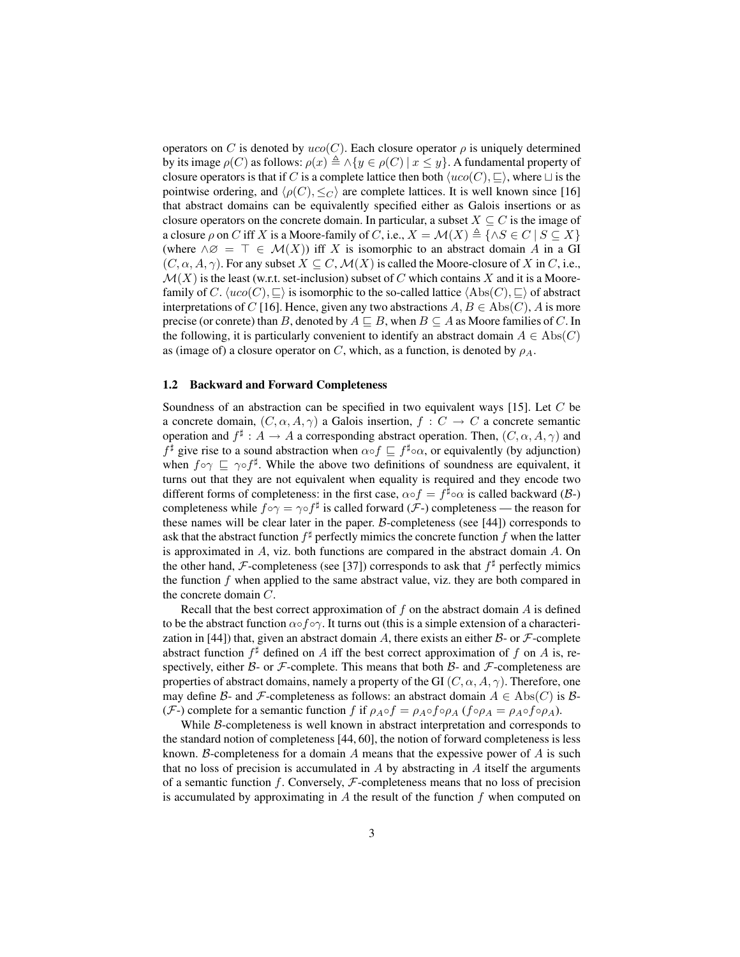operators on C is denoted by  $uco(C)$ . Each closure operator  $\rho$  is uniquely determined by its image  $\rho(C)$  as follows:  $\rho(x) \triangleq \wedge \{y \in \rho(C) \mid x \leq y\}$ . A fundamental property of closure operators is that if C is a complete lattice then both  $\langle uco(C), \sqsubseteq \rangle$ , where  $\sqcup$  is the pointwise ordering, and  $\langle \rho(C), \leq_C \rangle$  are complete lattices. It is well known since [16] that abstract domains can be equivalently specified either as Galois insertions or as closure operators on the concrete domain. In particular, a subset  $X \subseteq C$  is the image of a closure  $\rho$  on C iff X is a Moore-family of C, i.e.,  $X = \mathcal{M}(X) \triangleq \{\wedge S \in C \mid S \subseteq X\}$ (where  $\wedge \varnothing = \top \in \mathcal{M}(X)$ ) iff X is isomorphic to an abstract domain A in a GI  $(C, \alpha, A, \gamma)$ . For any subset  $X \subseteq C$ ,  $\mathcal{M}(X)$  is called the Moore-closure of X in C, i.e.,  $\mathcal{M}(X)$  is the least (w.r.t. set-inclusion) subset of C which contains X and it is a Moorefamily of C.  $\langle uco(C), \sqsubseteq \rangle$  is isomorphic to the so-called lattice  $\langle Abs(C), \sqsubseteq \rangle$  of abstract interpretations of C [16]. Hence, given any two abstractions  $A, B \in \text{Abs}(C)$ , A is more precise (or conrete) than B, denoted by  $A \sqsubseteq B$ , when  $B \subseteq A$  as Moore families of C. In the following, it is particularly convenient to identify an abstract domain  $A \in \text{Abs}(C)$ as (image of) a closure operator on C, which, as a function, is denoted by  $\rho_A$ .

## 1.2 Backward and Forward Completeness

Soundness of an abstraction can be specified in two equivalent ways [15]. Let C be a concrete domain,  $(C, \alpha, A, \gamma)$  a Galois insertion,  $f : C \to C$  a concrete semantic operation and  $f^{\sharp}: A \to A$  a corresponding abstract operation. Then,  $(C, \alpha, A, \gamma)$  and  $f^{\sharp}$  give rise to a sound abstraction when  $\alpha \circ f \subseteq f^{\sharp} \circ \alpha$ , or equivalently (by adjunction) when  $f \circ \gamma \subseteq \gamma \circ f^{\sharp}$ . While the above two definitions of soundness are equivalent, it turns out that they are not equivalent when equality is required and they encode two different forms of completeness: in the first case,  $\alpha \circ f = f^{\sharp} \circ \alpha$  is called backward ( $\beta$ -) completeness while  $f \circ \gamma = \gamma \circ f^{\sharp}$  is called forward (*F*-) completeness — the reason for these names will be clear later in the paper. B-completeness (see [44]) corresponds to ask that the abstract function  $f^\sharp$  perfectly mimics the concrete function  $f$  when the latter is approximated in  $A$ , viz. both functions are compared in the abstract domain  $A$ . On the other hand, F-completeness (see [37]) corresponds to ask that  $f^{\sharp}$  perfectly mimics the function  $f$  when applied to the same abstract value, viz. they are both compared in the concrete domain C.

Recall that the best correct approximation of f on the abstract domain  $\vec{A}$  is defined to be the abstract function  $\alpha \circ f \circ \gamma$ . It turns out (this is a simple extension of a characterization in [44]) that, given an abstract domain A, there exists an either  $\beta$ - or  $\mathcal F$ -complete abstract function  $f^{\sharp}$  defined on A iff the best correct approximation of f on A is, respectively, either  $\beta$ - or  $\mathcal F$ -complete. This means that both  $\beta$ - and  $\mathcal F$ -completeness are properties of abstract domains, namely a property of the GI  $(C, \alpha, A, \gamma)$ . Therefore, one may define B- and F-completeness as follows: an abstract domain  $A \in \text{Abs}(C)$  is B-(F-) complete for a semantic function f if  $\rho_{A} \circ f = \rho_{A} \circ f \circ \rho_{A}$  (f $\circ \rho_{A} = \rho_{A} \circ f \circ \rho_{A}$ ).

While B-completeness is well known in abstract interpretation and corresponds to the standard notion of completeness [44, 60], the notion of forward completeness is less known. B-completeness for a domain  $A$  means that the expessive power of  $A$  is such that no loss of precision is accumulated in  $A$  by abstracting in  $A$  itself the arguments of a semantic function f. Conversely,  $F$ -completeness means that no loss of precision is accumulated by approximating in A the result of the function  $f$  when computed on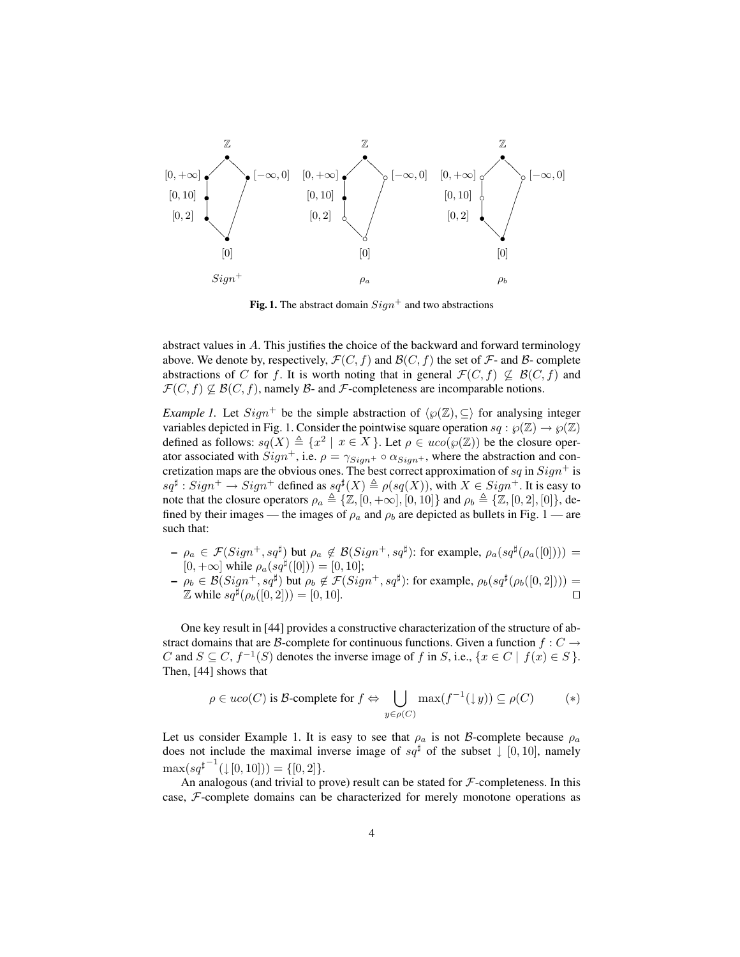

Fig. 1. The abstract domain  $Sign^+$  and two abstractions

abstract values in A. This justifies the choice of the backward and forward terminology above. We denote by, respectively,  $\mathcal{F}(C, f)$  and  $\mathcal{B}(C, f)$  the set of  $\mathcal{F}$ - and  $\mathcal{B}$ - complete abstractions of C for f. It is worth noting that in general  $\mathcal{F}(C, f) \not\subseteq \mathcal{B}(C, f)$  and  $\mathcal{F}(C, f) \not\subseteq \mathcal{B}(C, f)$ , namely  $\mathcal{B}$ - and  $\mathcal{F}$ -completeness are incomparable notions.

*Example 1.* Let  $Sign^+$  be the simple abstraction of  $\langle \wp(\mathbb{Z}), \subseteq \rangle$  for analysing integer variables depicted in Fig. 1. Consider the pointwise square operation  $sq : \wp(\mathbb{Z}) \to \wp(\mathbb{Z})$ defined as follows:  $sq(X) \triangleq \{x^2 \mid x \in X\}$ . Let  $\rho \in uco(\wp(\mathbb{Z}))$  be the closure operator associated with  $Sign^+$ , i.e.  $\rho = \gamma_{Sign^+} \circ \alpha_{Sign^+}$ , where the abstraction and concretization maps are the obvious ones. The best correct approximation of sq in  $Sign<sup>+</sup>$  is  $sq^{\sharp}: Sign^+ \to Sign^+$  defined as  $sq^{\sharp}(X) \triangleq \rho(sq(X)),$  with  $X \in Sign^+$ . It is easy to note that the closure operators  $\rho_a \triangleq \{Z, [0, +\infty], [0, 10]\}$  and  $\rho_b \triangleq \{Z, [0, 2], [0]\}$ , defined by their images — the images of  $\rho_a$  and  $\rho_b$  are depicted as bullets in Fig. 1 — are such that:

- $-\rho_a \in \mathcal{F}(Sign^+,sq^{\sharp})$  but  $\rho_a \notin \mathcal{B}(Sign^+,sq^{\sharp})$ : for example,  $\rho_a(sq^{\sharp}(\rho_a([0])) =$  $[0, +\infty]$  while  $\rho_a(sq^{\sharp}([0])) = [0, 10]$ ;
- $\rho_b \in \mathcal{B}(Sign^+, sq^{\sharp})$  but  $\rho_b \notin \mathcal{F}(Sign^+, sq^{\sharp})$ : for example,  $\rho_b(sq^{\sharp}(\rho_b([0, 2]))) =$  $\mathbb{Z}$  while  $sq^{\frac{1}{2}}(\rho_b([0,2])) = [0, 10].$

One key result in [44] provides a constructive characterization of the structure of abstract domains that are B-complete for continuous functions. Given a function  $f: C \rightarrow$ C and  $S \subseteq C$ ,  $f^{-1}(S)$  denotes the inverse image of f in S, i.e.,  $\{x \in C \mid f(x) \in S\}$ . Then, [44] shows that

$$
\rho \in uco(C) \text{ is } \mathcal{B}\text{-complete for } f \Leftrightarrow \bigcup_{y \in \rho(C)} \max(f^{-1}(\downarrow y)) \subseteq \rho(C) \tag{*}
$$

Let us consider Example 1. It is easy to see that  $\rho_a$  is not B-complete because  $\rho_a$ does not include the maximal inverse image of  $sq^{\sharp}$  of the subset  $\downarrow$  [0, 10], namely  $\max(sq^{\sharp^{-1}}(\downarrow[0,10])) = \{[0,2]\}.$ 

An analogous (and trivial to prove) result can be stated for  $F$ -completeness. In this case, F-complete domains can be characterized for merely monotone operations as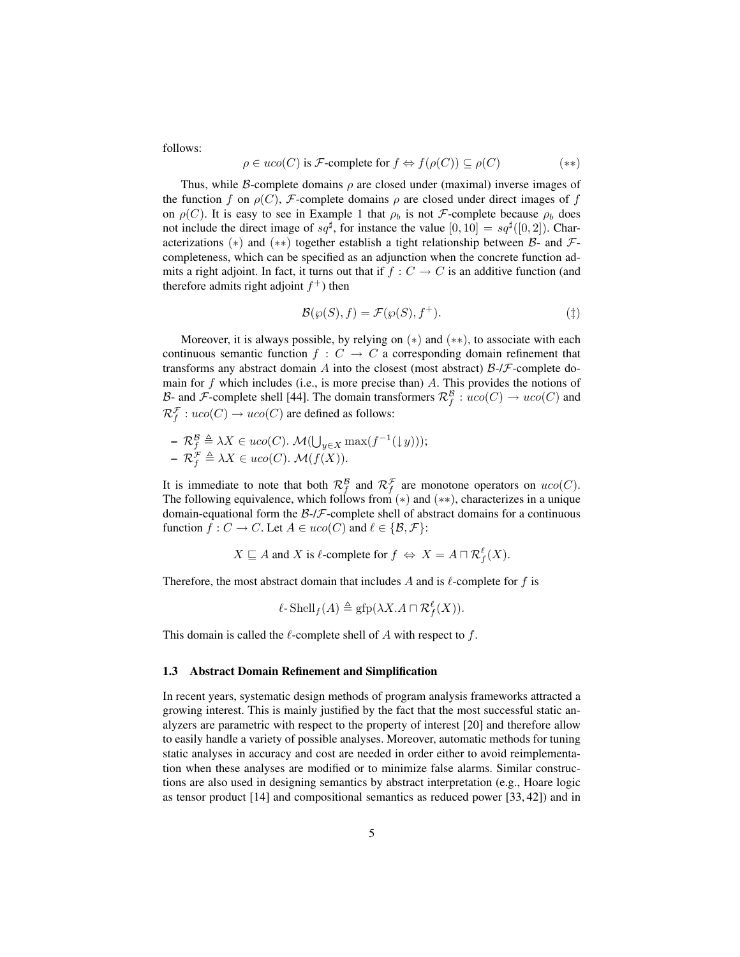follows:

$$
\rho \in uco(C) \text{ is } \mathcal{F}\text{-complete for } f \Leftrightarrow f(\rho(C)) \subseteq \rho(C) \tag{**}
$$

Thus, while B-complete domains  $\rho$  are closed under (maximal) inverse images of the function f on  $\rho(C)$ , F-complete domains  $\rho$  are closed under direct images of f on  $\rho(C)$ . It is easy to see in Example 1 that  $\rho_b$  is not *F*-complete because  $\rho_b$  does not include the direct image of  $sq^{\sharp}$ , for instance the value  $[0, 10] = sq^{\sharp}([0, 2])$ . Characterizations (\*) and (\*\*) together establish a tight relationship between  $\beta$ - and  $\mathcal{F}$ completeness, which can be specified as an adjunction when the concrete function admits a right adjoint. In fact, it turns out that if  $f : C \to C$  is an additive function (and therefore admits right adjoint  $f^+$ ) then

$$
\mathcal{B}(\wp(S), f) = \mathcal{F}(\wp(S), f^+). \tag{\dagger}
$$

Moreover, it is always possible, by relying on  $(*)$  and  $(**)$ , to associate with each continuous semantic function  $f : C \to C$  a corresponding domain refinement that transforms any abstract domain A into the closest (most abstract)  $\beta$ -/ $\mathcal{F}$ -complete domain for f which includes (i.e., is more precise than) A. This provides the notions of B- and F-complete shell [44]. The domain transformers  $\mathcal{R}_f^{\mathcal{B}}: uco(C) \to uco(C)$  and  $\mathcal{R}_f^{\mathcal{F}}: uco(C) \to uco(C)$  are defined as follows:

- 
$$
\mathcal{R}_f^{\mathcal{B}} \triangleq \lambda X \in uco(C) \cdot \mathcal{M}(\bigcup_{y \in X} \max(f^{-1}(\downarrow y)));
$$
  
-  $\mathcal{R}_f^{\mathcal{F}} \triangleq \lambda X \in uco(C) \cdot \mathcal{M}(f(X)).$ 

It is immediate to note that both  $\mathcal{R}_f^{\mathcal{B}}$  and  $\mathcal{R}_f^{\mathcal{F}}$  are monotone operators on  $uco(C)$ . The following equivalence, which follows from  $(*)$  and  $(**)$ , characterizes in a unique domain-equational form the  $\beta$ -/ $\beta$ -complete shell of abstract domains for a continuous function  $f : C \to C$ . Let  $A \in uco(C)$  and  $\ell \in \{B, \mathcal{F}\}\$ :

$$
X \sqsubseteq A
$$
 and X is  $\ell$ -complete for  $f \Leftrightarrow X = A \sqcap \mathcal{R}_f^{\ell}(X)$ .

Therefore, the most abstract domain that includes A and is  $\ell$ -complete for f is

$$
\ell\text{-}\mathrm{Shell}_f(A) \triangleq \mathrm{gfp}(\lambda X.A \sqcap \mathcal{R}_f^{\ell}(X)).
$$

This domain is called the  $\ell$ -complete shell of A with respect to f.

#### 1.3 Abstract Domain Refinement and Simplification

In recent years, systematic design methods of program analysis frameworks attracted a growing interest. This is mainly justified by the fact that the most successful static analyzers are parametric with respect to the property of interest [20] and therefore allow to easily handle a variety of possible analyses. Moreover, automatic methods for tuning static analyses in accuracy and cost are needed in order either to avoid reimplementation when these analyses are modified or to minimize false alarms. Similar constructions are also used in designing semantics by abstract interpretation (e.g., Hoare logic as tensor product [14] and compositional semantics as reduced power [33, 42]) and in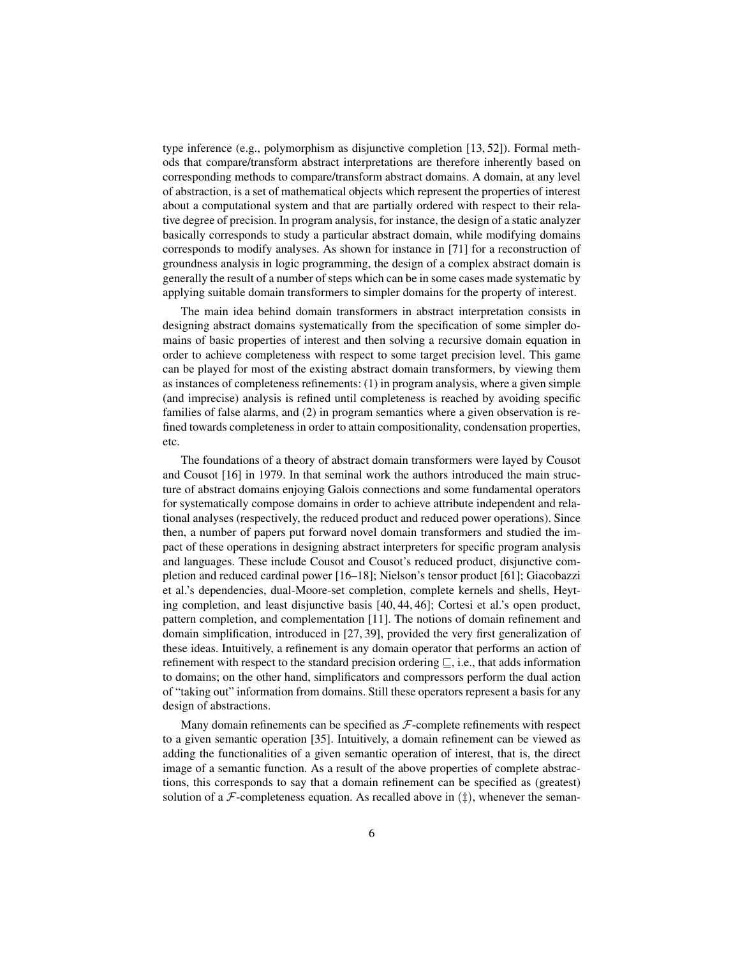type inference (e.g., polymorphism as disjunctive completion [13, 52]). Formal methods that compare/transform abstract interpretations are therefore inherently based on corresponding methods to compare/transform abstract domains. A domain, at any level of abstraction, is a set of mathematical objects which represent the properties of interest about a computational system and that are partially ordered with respect to their relative degree of precision. In program analysis, for instance, the design of a static analyzer basically corresponds to study a particular abstract domain, while modifying domains corresponds to modify analyses. As shown for instance in [71] for a reconstruction of groundness analysis in logic programming, the design of a complex abstract domain is generally the result of a number of steps which can be in some cases made systematic by applying suitable domain transformers to simpler domains for the property of interest.

The main idea behind domain transformers in abstract interpretation consists in designing abstract domains systematically from the specification of some simpler domains of basic properties of interest and then solving a recursive domain equation in order to achieve completeness with respect to some target precision level. This game can be played for most of the existing abstract domain transformers, by viewing them as instances of completeness refinements: (1) in program analysis, where a given simple (and imprecise) analysis is refined until completeness is reached by avoiding specific families of false alarms, and (2) in program semantics where a given observation is refined towards completeness in order to attain compositionality, condensation properties, etc.

The foundations of a theory of abstract domain transformers were layed by Cousot and Cousot [16] in 1979. In that seminal work the authors introduced the main structure of abstract domains enjoying Galois connections and some fundamental operators for systematically compose domains in order to achieve attribute independent and relational analyses (respectively, the reduced product and reduced power operations). Since then, a number of papers put forward novel domain transformers and studied the impact of these operations in designing abstract interpreters for specific program analysis and languages. These include Cousot and Cousot's reduced product, disjunctive completion and reduced cardinal power [16–18]; Nielson's tensor product [61]; Giacobazzi et al.'s dependencies, dual-Moore-set completion, complete kernels and shells, Heyting completion, and least disjunctive basis [40, 44, 46]; Cortesi et al.'s open product, pattern completion, and complementation [11]. The notions of domain refinement and domain simplification, introduced in [27, 39], provided the very first generalization of these ideas. Intuitively, a refinement is any domain operator that performs an action of refinement with respect to the standard precision ordering  $\subseteq$ , i.e., that adds information to domains; on the other hand, simplificators and compressors perform the dual action of "taking out" information from domains. Still these operators represent a basis for any design of abstractions.

Many domain refinements can be specified as  $F$ -complete refinements with respect to a given semantic operation [35]. Intuitively, a domain refinement can be viewed as adding the functionalities of a given semantic operation of interest, that is, the direct image of a semantic function. As a result of the above properties of complete abstractions, this corresponds to say that a domain refinement can be specified as (greatest) solution of a  $\mathcal F$ -completeness equation. As recalled above in  $(\uparrow)$ , whenever the seman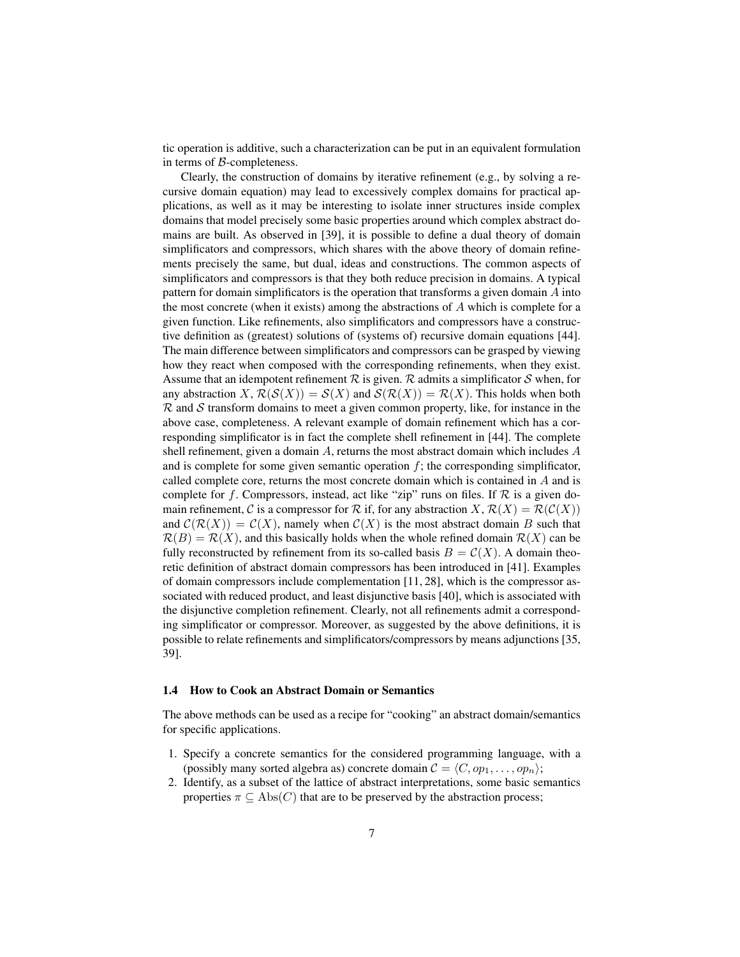tic operation is additive, such a characterization can be put in an equivalent formulation in terms of B-completeness.

Clearly, the construction of domains by iterative refinement (e.g., by solving a recursive domain equation) may lead to excessively complex domains for practical applications, as well as it may be interesting to isolate inner structures inside complex domains that model precisely some basic properties around which complex abstract domains are built. As observed in [39], it is possible to define a dual theory of domain simplificators and compressors, which shares with the above theory of domain refinements precisely the same, but dual, ideas and constructions. The common aspects of simplificators and compressors is that they both reduce precision in domains. A typical pattern for domain simplificators is the operation that transforms a given domain A into the most concrete (when it exists) among the abstractions of  $A$  which is complete for a given function. Like refinements, also simplificators and compressors have a constructive definition as (greatest) solutions of (systems of) recursive domain equations [44]. The main difference between simplificators and compressors can be grasped by viewing how they react when composed with the corresponding refinements, when they exist. Assume that an idempotent refinement  $R$  is given.  $R$  admits a simplificator  $S$  when, for any abstraction X,  $\mathcal{R}(\mathcal{S}(X)) = \mathcal{S}(X)$  and  $\mathcal{S}(\mathcal{R}(X)) = \mathcal{R}(X)$ . This holds when both  $\mathcal R$  and  $\mathcal S$  transform domains to meet a given common property, like, for instance in the above case, completeness. A relevant example of domain refinement which has a corresponding simplificator is in fact the complete shell refinement in [44]. The complete shell refinement, given a domain A, returns the most abstract domain which includes A and is complete for some given semantic operation  $f$ ; the corresponding simplificator, called complete core, returns the most concrete domain which is contained in A and is complete for f. Compressors, instead, act like "zip" runs on files. If  $R$  is a given domain refinement, C is a compressor for R if, for any abstraction X,  $\mathcal{R}(X) = \mathcal{R}(\mathcal{C}(X))$ and  $\mathcal{C}(\mathcal{R}(X)) = \mathcal{C}(X)$ , namely when  $\mathcal{C}(X)$  is the most abstract domain B such that  $\mathcal{R}(B) = \mathcal{R}(X)$ , and this basically holds when the whole refined domain  $\mathcal{R}(X)$  can be fully reconstructed by refinement from its so-called basis  $B = \mathcal{C}(X)$ . A domain theoretic definition of abstract domain compressors has been introduced in [41]. Examples of domain compressors include complementation [11, 28], which is the compressor associated with reduced product, and least disjunctive basis [40], which is associated with the disjunctive completion refinement. Clearly, not all refinements admit a corresponding simplificator or compressor. Moreover, as suggested by the above definitions, it is possible to relate refinements and simplificators/compressors by means adjunctions [35, 39].

# 1.4 How to Cook an Abstract Domain or Semantics

The above methods can be used as a recipe for "cooking" an abstract domain/semantics for specific applications.

- 1. Specify a concrete semantics for the considered programming language, with a (possibly many sorted algebra as) concrete domain  $C = \langle C, op_1, \ldots, op_n \rangle;$
- 2. Identify, as a subset of the lattice of abstract interpretations, some basic semantics properties  $\pi \subseteq \text{Abs}(C)$  that are to be preserved by the abstraction process;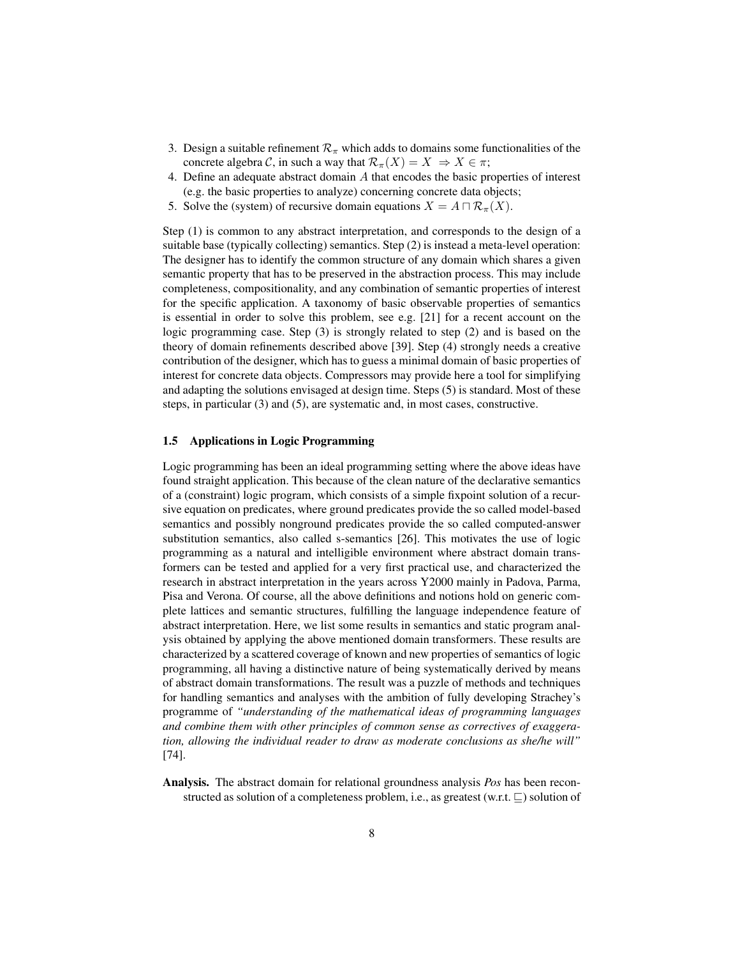- 3. Design a suitable refinement  $\mathcal{R}_{\pi}$  which adds to domains some functionalities of the concrete algebra C, in such a way that  $\mathcal{R}_{\pi}(X) = X \Rightarrow X \in \pi$ ;
- 4. Define an adequate abstract domain A that encodes the basic properties of interest (e.g. the basic properties to analyze) concerning concrete data objects;
- 5. Solve the (system) of recursive domain equations  $X = A \cap \mathcal{R}_{\pi}(X)$ .

Step (1) is common to any abstract interpretation, and corresponds to the design of a suitable base (typically collecting) semantics. Step (2) is instead a meta-level operation: The designer has to identify the common structure of any domain which shares a given semantic property that has to be preserved in the abstraction process. This may include completeness, compositionality, and any combination of semantic properties of interest for the specific application. A taxonomy of basic observable properties of semantics is essential in order to solve this problem, see e.g. [21] for a recent account on the logic programming case. Step (3) is strongly related to step (2) and is based on the theory of domain refinements described above [39]. Step (4) strongly needs a creative contribution of the designer, which has to guess a minimal domain of basic properties of interest for concrete data objects. Compressors may provide here a tool for simplifying and adapting the solutions envisaged at design time. Steps (5) is standard. Most of these steps, in particular (3) and (5), are systematic and, in most cases, constructive.

## 1.5 Applications in Logic Programming

Logic programming has been an ideal programming setting where the above ideas have found straight application. This because of the clean nature of the declarative semantics of a (constraint) logic program, which consists of a simple fixpoint solution of a recursive equation on predicates, where ground predicates provide the so called model-based semantics and possibly nonground predicates provide the so called computed-answer substitution semantics, also called s-semantics [26]. This motivates the use of logic programming as a natural and intelligible environment where abstract domain transformers can be tested and applied for a very first practical use, and characterized the research in abstract interpretation in the years across Y2000 mainly in Padova, Parma, Pisa and Verona. Of course, all the above definitions and notions hold on generic complete lattices and semantic structures, fulfilling the language independence feature of abstract interpretation. Here, we list some results in semantics and static program analysis obtained by applying the above mentioned domain transformers. These results are characterized by a scattered coverage of known and new properties of semantics of logic programming, all having a distinctive nature of being systematically derived by means of abstract domain transformations. The result was a puzzle of methods and techniques for handling semantics and analyses with the ambition of fully developing Strachey's programme of *"understanding of the mathematical ideas of programming languages and combine them with other principles of common sense as correctives of exaggeration, allowing the individual reader to draw as moderate conclusions as she/he will"* [74].

Analysis. The abstract domain for relational groundness analysis *Pos* has been reconstructed as solution of a completeness problem, i.e., as greatest (w.r.t.  $\Box$ ) solution of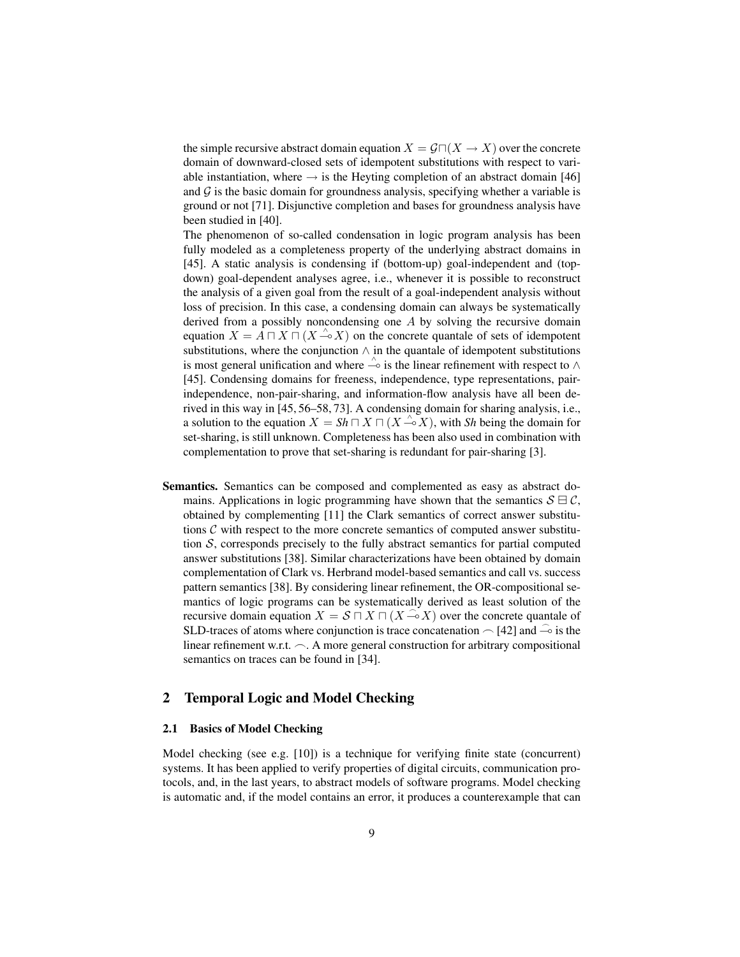the simple recursive abstract domain equation  $X = \mathcal{G} \cap (X \to X)$  over the concrete domain of downward-closed sets of idempotent substitutions with respect to variable instantiation, where  $\rightarrow$  is the Heyting completion of an abstract domain [46] and  $G$  is the basic domain for groundness analysis, specifying whether a variable is ground or not [71]. Disjunctive completion and bases for groundness analysis have been studied in [40].

The phenomenon of so-called condensation in logic program analysis has been fully modeled as a completeness property of the underlying abstract domains in [45]. A static analysis is condensing if (bottom-up) goal-independent and (topdown) goal-dependent analyses agree, i.e., whenever it is possible to reconstruct the analysis of a given goal from the result of a goal-independent analysis without loss of precision. In this case, a condensing domain can always be systematically derived from a possibly noncondensing one A by solving the recursive domain equation  $X = \overline{A} \sqcap X \sqcap (X \to X)$  on the concrete quantale of sets of idempotent substitutions, where the conjunction  $\wedge$  in the quantale of idempotent substitutions is most general unification and where  $\stackrel{\wedge}{\sim}$  is the linear refinement with respect to ∧ [45]. Condensing domains for freeness, independence, type representations, pairindependence, non-pair-sharing, and information-flow analysis have all been derived in this way in [45, 56–58, 73]. A condensing domain for sharing analysis, i.e., a solution to the equation  $X = Sh \sqcap X \sqcap (X \xrightarrow{\wedge} X)$ , with *Sh* being the domain for set-sharing, is still unknown. Completeness has been also used in combination with complementation to prove that set-sharing is redundant for pair-sharing [3].

Semantics. Semantics can be composed and complemented as easy as abstract domains. Applications in logic programming have shown that the semantics  $S \boxminus C$ , obtained by complementing [11] the Clark semantics of correct answer substitutions  $\mathcal C$  with respect to the more concrete semantics of computed answer substitution  $S$ , corresponds precisely to the fully abstract semantics for partial computed answer substitutions [38]. Similar characterizations have been obtained by domain complementation of Clark vs. Herbrand model-based semantics and call vs. success pattern semantics [38]. By considering linear refinement, the OR-compositional semantics of logic programs can be systematically derived as least solution of the recursive domain equation  $X = S \cap X \cap (X \to X)$  over the concrete quantale of SLD-traces of atoms where conjunction is trace concatenation  $\sim$  [42] and  $\sim$  is the linear refinement w.r.t.  $\frown$ . A more general construction for arbitrary compositional semantics on traces can be found in [34].

# 2 Temporal Logic and Model Checking

# 2.1 Basics of Model Checking

Model checking (see e.g. [10]) is a technique for verifying finite state (concurrent) systems. It has been applied to verify properties of digital circuits, communication protocols, and, in the last years, to abstract models of software programs. Model checking is automatic and, if the model contains an error, it produces a counterexample that can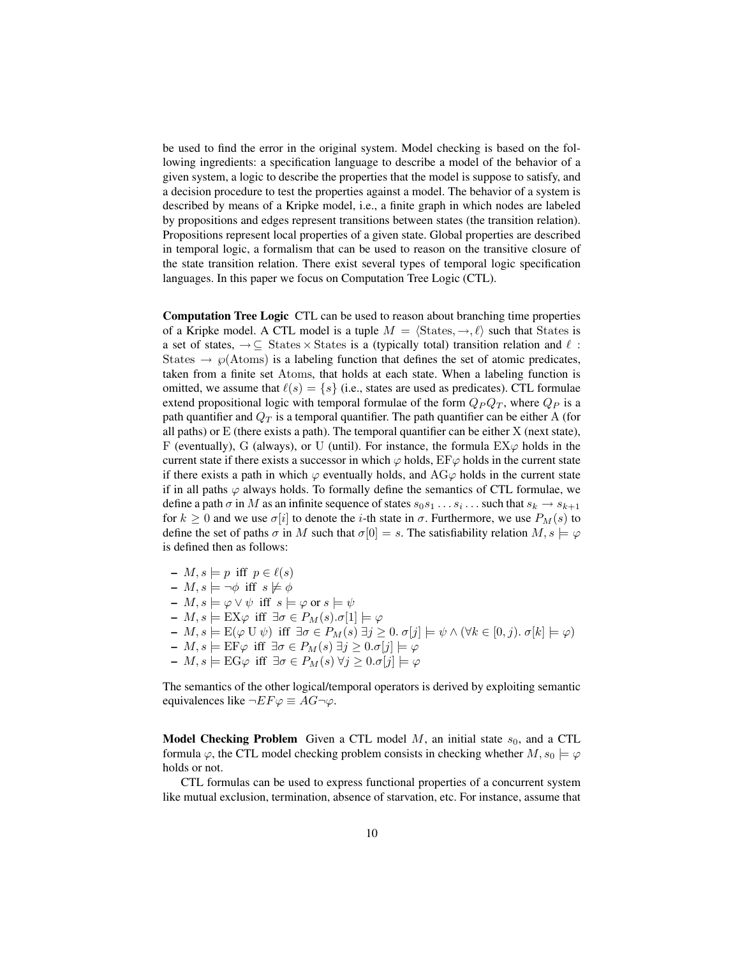be used to find the error in the original system. Model checking is based on the following ingredients: a specification language to describe a model of the behavior of a given system, a logic to describe the properties that the model is suppose to satisfy, and a decision procedure to test the properties against a model. The behavior of a system is described by means of a Kripke model, i.e., a finite graph in which nodes are labeled by propositions and edges represent transitions between states (the transition relation). Propositions represent local properties of a given state. Global properties are described in temporal logic, a formalism that can be used to reason on the transitive closure of the state transition relation. There exist several types of temporal logic specification languages. In this paper we focus on Computation Tree Logic (CTL).

Computation Tree Logic CTL can be used to reason about branching time properties of a Kripke model. A CTL model is a tuple  $M = \langle \text{States}, \to, \ell \rangle$  such that States is a set of states,  $\rightarrow \subseteq$  States × States is a (typically total) transition relation and  $\ell$ : States  $\rightarrow \wp(A \text{tom})$  is a labeling function that defines the set of atomic predicates, taken from a finite set Atoms, that holds at each state. When a labeling function is omitted, we assume that  $\ell(s) = \{s\}$  (i.e., states are used as predicates). CTL formulae extend propositional logic with temporal formulae of the form  $Q_PQ_T$ , where  $Q_P$  is a path quantifier and  $Q_T$  is a temporal quantifier. The path quantifier can be either A (for all paths) or  $E$  (there exists a path). The temporal quantifier can be either  $X$  (next state), F (eventually), G (always), or U (until). For instance, the formula  $EX\varphi$  holds in the current state if there exists a successor in which  $\varphi$  holds,  $EF\varphi$  holds in the current state if there exists a path in which  $\varphi$  eventually holds, and AG $\varphi$  holds in the current state if in all paths  $\varphi$  always holds. To formally define the semantics of CTL formulae, we define a path  $\sigma$  in  $M$  as an infinite sequence of states  $s_0s_1 \dots s_i \dots$  such that  $s_k \to s_{k+1}$ for  $k \geq 0$  and we use  $\sigma[i]$  to denote the *i*-th state in  $\sigma$ . Furthermore, we use  $P_M(s)$  to define the set of paths  $\sigma$  in M such that  $\sigma[0] = s$ . The satisfiability relation  $M, s \models \varphi$ is defined then as follows:

 $-M, s \models p \text{ iff } p \in \ell(s)$  $-M, s \models \neg \phi$  iff  $s \not\models \phi$  $-M, s \models \varphi \vee \psi \text{ iff } s \models \varphi \text{ or } s \models \psi$  $- M, s \models \mathsf{EX} \varphi \text{ iff } \exists \sigma \in P_M(s) \ldotp \sigma[1] \models \varphi$  $- M, s \models E(\varphi \cup \psi)$  iff  $\exists \sigma \in P_M(s) \exists j \geq 0.$   $\sigma[j] \models \psi \land (\forall k \in [0, j).$   $\sigma[k] \models \varphi)$ –  $M, s \models \text{EF}φ \text{ iff } \exists σ \in P_M(s) \exists j \geq 0 \ldotp σ[j] \models φ$  $- M, s \models \mathrm{EG}\varphi \text{ iff } \exists \sigma \in P_M(s) \ \forall j \geq 0 \ldotp \sigma[j] \models \varphi$ 

The semantics of the other logical/temporal operators is derived by exploiting semantic equivalences like  $\neg EF \varphi \equiv AG \neg \varphi$ .

**Model Checking Problem** Given a CTL model M, an initial state  $s_0$ , and a CTL formula  $\varphi$ , the CTL model checking problem consists in checking whether  $M$ ,  $s_0 \models \varphi$ holds or not.

CTL formulas can be used to express functional properties of a concurrent system like mutual exclusion, termination, absence of starvation, etc. For instance, assume that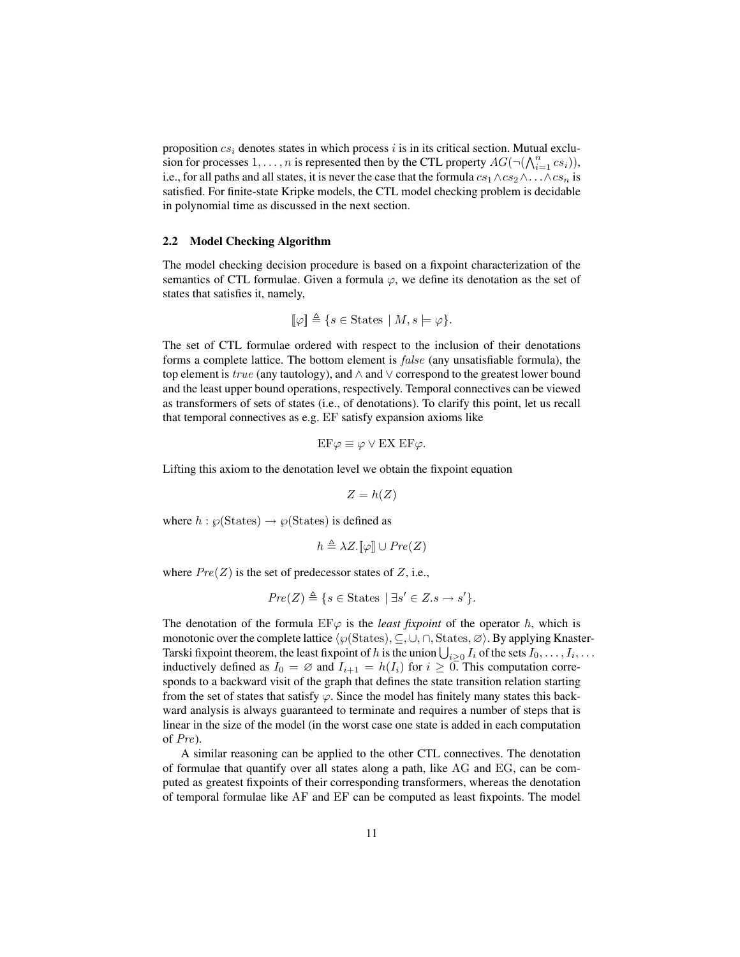proposition  $cs_i$  denotes states in which process i is in its critical section. Mutual exclusion for processes  $1, \ldots, n$  is represented then by the CTL property  $AG(\neg(\bigwedge_{i=1}^{n} cs_i)),$ i.e., for all paths and all states, it is never the case that the formula  $cs_1 \wedge cs_2 \wedge \ldots \wedge cs_n$  is satisfied. For finite-state Kripke models, the CTL model checking problem is decidable in polynomial time as discussed in the next section.

#### 2.2 Model Checking Algorithm

The model checking decision procedure is based on a fixpoint characterization of the semantics of CTL formulae. Given a formula  $\varphi$ , we define its denotation as the set of states that satisfies it, namely,

$$
\llbracket \varphi \rrbracket \triangleq \{ s \in \text{States} \mid M, s \models \varphi \}.
$$

The set of CTL formulae ordered with respect to the inclusion of their denotations forms a complete lattice. The bottom element is false (any unsatisfiable formula), the top element is  $true$  (any tautology), and  $\wedge$  and  $\vee$  correspond to the greatest lower bound and the least upper bound operations, respectively. Temporal connectives can be viewed as transformers of sets of states (i.e., of denotations). To clarify this point, let us recall that temporal connectives as e.g. EF satisfy expansion axioms like

$$
EF\varphi \equiv \varphi \vee EX EF\varphi.
$$

Lifting this axiom to the denotation level we obtain the fixpoint equation

 $Z = h(Z)$ 

where  $h : \wp(\text{States}) \to \wp(\text{States})$  is defined as

$$
h \triangleq \lambda Z.\llbracket \varphi \rrbracket \cup Pre(Z)
$$

where  $Pre(Z)$  is the set of predecessor states of Z, i.e.,

$$
Pre(Z) \triangleq \{ s \in \text{States} \mid \exists s' \in Z.s \rightarrow s' \}.
$$

The denotation of the formula  $E\psi$  is the *least fixpoint* of the operator h, which is monotonic over the complete lattice  $\langle \wp(\text{States}), \subseteq, \cup, \cap, \text{States}, \varnothing \rangle$ . By applying Knaster-Tarski fixpoint theorem, the least fixpoint of h is the union  $\bigcup_{i\geq 0}I_i$  of the sets  $I_0,\ldots,I_i,\ldots$ inductively defined as  $I_0 = \emptyset$  and  $I_{i+1} = h(I_i)$  for  $i \geq 0$ . This computation corresponds to a backward visit of the graph that defines the state transition relation starting from the set of states that satisfy  $\varphi$ . Since the model has finitely many states this backward analysis is always guaranteed to terminate and requires a number of steps that is linear in the size of the model (in the worst case one state is added in each computation of Pre).

A similar reasoning can be applied to the other CTL connectives. The denotation of formulae that quantify over all states along a path, like AG and EG, can be computed as greatest fixpoints of their corresponding transformers, whereas the denotation of temporal formulae like AF and EF can be computed as least fixpoints. The model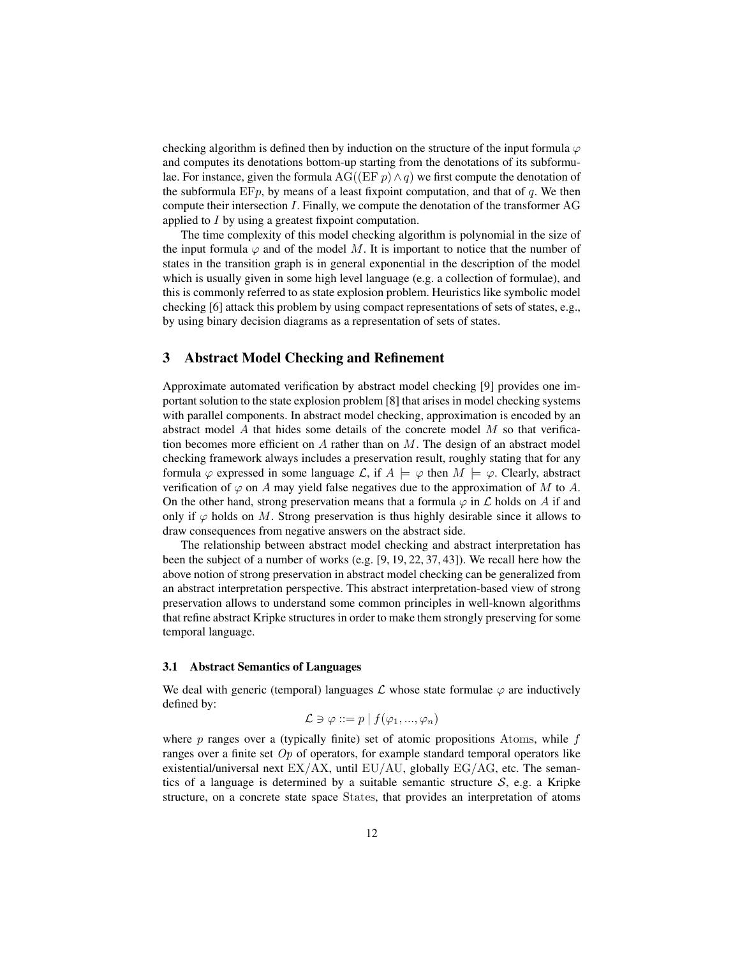checking algorithm is defined then by induction on the structure of the input formula  $\varphi$ and computes its denotations bottom-up starting from the denotations of its subformulae. For instance, given the formula AG((EF  $p \wedge q$ ) we first compute the denotation of the subformula  $E F p$ , by means of a least fixpoint computation, and that of q. We then compute their intersection I. Finally, we compute the denotation of the transformer AG applied to I by using a greatest fixpoint computation.

The time complexity of this model checking algorithm is polynomial in the size of the input formula  $\varphi$  and of the model M. It is important to notice that the number of states in the transition graph is in general exponential in the description of the model which is usually given in some high level language (e.g. a collection of formulae), and this is commonly referred to as state explosion problem. Heuristics like symbolic model checking [6] attack this problem by using compact representations of sets of states, e.g., by using binary decision diagrams as a representation of sets of states.

# 3 Abstract Model Checking and Refinement

Approximate automated verification by abstract model checking [9] provides one important solution to the state explosion problem [8] that arises in model checking systems with parallel components. In abstract model checking, approximation is encoded by an abstract model  $A$  that hides some details of the concrete model  $M$  so that verification becomes more efficient on  $A$  rather than on  $M$ . The design of an abstract model checking framework always includes a preservation result, roughly stating that for any formula  $\varphi$  expressed in some language  $\mathcal{L}$ , if  $A \models \varphi$  then  $M \models \varphi$ . Clearly, abstract verification of  $\varphi$  on A may yield false negatives due to the approximation of M to A. On the other hand, strong preservation means that a formula  $\varphi$  in  $\mathcal L$  holds on A if and only if  $\varphi$  holds on M. Strong preservation is thus highly desirable since it allows to draw consequences from negative answers on the abstract side.

The relationship between abstract model checking and abstract interpretation has been the subject of a number of works (e.g. [9, 19, 22, 37, 43]). We recall here how the above notion of strong preservation in abstract model checking can be generalized from an abstract interpretation perspective. This abstract interpretation-based view of strong preservation allows to understand some common principles in well-known algorithms that refine abstract Kripke structures in order to make them strongly preserving for some temporal language.

## 3.1 Abstract Semantics of Languages

We deal with generic (temporal) languages  $\mathcal L$  whose state formulae  $\varphi$  are inductively defined by:

$$
\mathcal{L} \ni \varphi ::= p \mid f(\varphi_1, ..., \varphi_n)
$$

where  $p$  ranges over a (typically finite) set of atomic propositions Atoms, while  $f$ ranges over a finite set  $Op$  of operators, for example standard temporal operators like existential/universal next  $EX/AX$ , until  $EU/AU$ , globally  $EG/AG$ , etc. The semantics of a language is determined by a suitable semantic structure  $S$ , e.g. a Kripke structure, on a concrete state space States, that provides an interpretation of atoms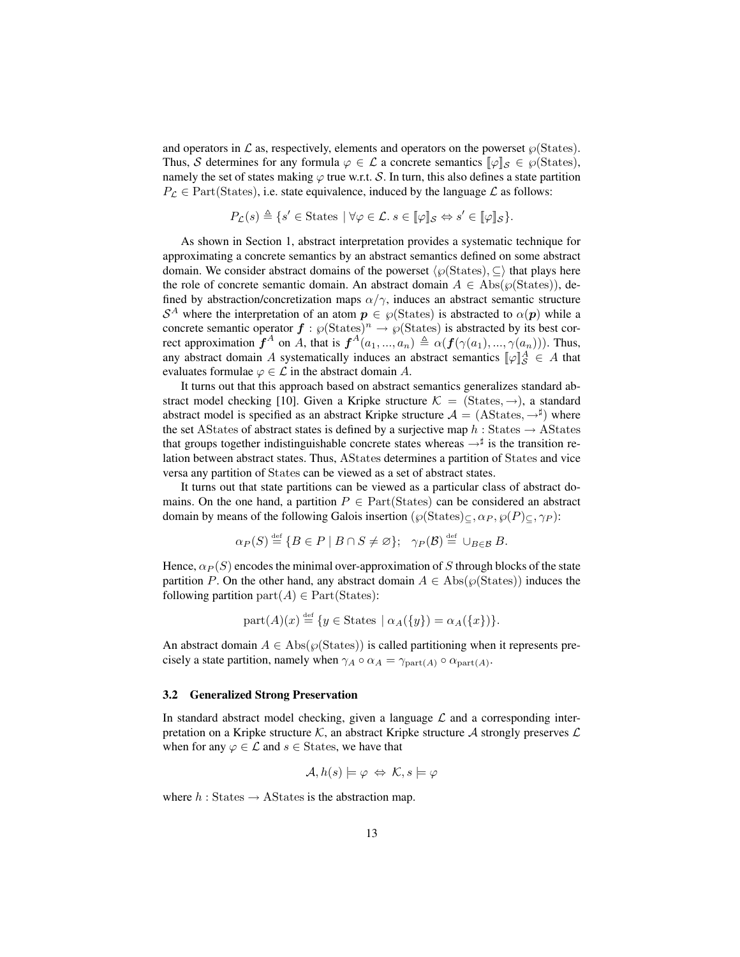and operators in  $\mathcal L$  as, respectively, elements and operators on the powerset  $\wp(\text{States})$ . Thus, S determines for any formula  $\varphi \in \mathcal{L}$  a concrete semantics  $[\varphi]_{\mathcal{S}} \in \varphi(\text{States})$ , namely the set of states making  $\varphi$  true w.r.t. S. In turn, this also defines a state partition  $P_{\mathcal{L}} \in \text{Part}(\text{States})$ , i.e. state equivalence, induced by the language  $\mathcal{L}$  as follows:

$$
P_{\mathcal{L}}(s) \triangleq \{s' \in \text{States} \mid \forall \varphi \in \mathcal{L}. s \in [\![\varphi]\!]_S \Leftrightarrow s' \in [\![\varphi]\!]_S\}.
$$

As shown in Section 1, abstract interpretation provides a systematic technique for approximating a concrete semantics by an abstract semantics defined on some abstract domain. We consider abstract domains of the powerset  $\langle \wp(\text{States}), \subseteq \rangle$  that plays here the role of concrete semantic domain. An abstract domain  $A \in \text{Abs}(\wp(\text{States}))$ , defined by abstraction/concretization maps  $\alpha/\gamma$ , induces an abstract semantic structure  $S^A$  where the interpretation of an atom  $p \in \mathcal{P}(\text{States})$  is abstracted to  $\alpha(\boldsymbol{p})$  while a concrete semantic operator  $f : \wp(\text{States})^n \to \wp(\text{States})$  is abstracted by its best correct approximation  $f^A$  on A, that is  $f^A(a_1, ..., a_n) \triangleq \alpha(f(\gamma(a_1), ..., \gamma(a_n)))$ . Thus, any abstract domain A systematically induces an abstract semantics  $[\![\varphi]\!]_S^A \in A$  that evaluates formulae  $\varphi \in \mathcal{L}$  in the abstract domain A.

It turns out that this approach based on abstract semantics generalizes standard abstract model checking [10]. Given a Kripke structure  $\mathcal{K} = (\text{States}, \rightarrow)$ , a standard abstract model is specified as an abstract Kripke structure  $A = (A States, \rightarrow^{\sharp})$  where the set AStates of abstract states is defined by a surjective map  $h:$  States  $\rightarrow$  AStates that groups together indistinguishable concrete states whereas  $\rightarrow^{\sharp}$  is the transition relation between abstract states. Thus, AStates determines a partition of States and vice versa any partition of States can be viewed as a set of abstract states.

It turns out that state partitions can be viewed as a particular class of abstract domains. On the one hand, a partition  $P \in Part(States)$  can be considered an abstract domain by means of the following Galois insertion  $(\wp(\text{States})_{\subset}, \alpha_P, \wp(P)_{\subset}, \gamma_P)$ :

$$
\alpha_P(S) \stackrel{\text{def}}{=} \{ B \in P \mid B \cap S \neq \varnothing \}; \quad \gamma_P(\mathcal{B}) \stackrel{\text{def}}{=} \cup_{B \in \mathcal{B}} B.
$$

Hence,  $\alpha_P(S)$  encodes the minimal over-approximation of S through blocks of the state partition P. On the other hand, any abstract domain  $A \in \text{Abs}(\wp(\text{States}))$  induces the following partition part $(A) \in Part(States)$ :

$$
part(A)(x) \stackrel{\text{def}}{=} \{ y \in \text{States} \mid \alpha_A(\{y\}) = \alpha_A(\{x\}) \}.
$$

An abstract domain  $A \in \text{Abs}(\wp(\text{States}))$  is called partitioning when it represents precisely a state partition, namely when  $\gamma_A \circ \alpha_A = \gamma_{part(A)} \circ \alpha_{part(A)}$ .

#### 3.2 Generalized Strong Preservation

In standard abstract model checking, given a language  $\mathcal L$  and a corresponding interpretation on a Kripke structure K, an abstract Kripke structure A strongly preserves  $\mathcal{L}$ when for any  $\varphi \in \mathcal{L}$  and  $s \in$  States, we have that

$$
\mathcal{A}, h(s) \models \varphi \Leftrightarrow \mathcal{K}, s \models \varphi
$$

where  $h:$  States  $\rightarrow$  AStates is the abstraction map.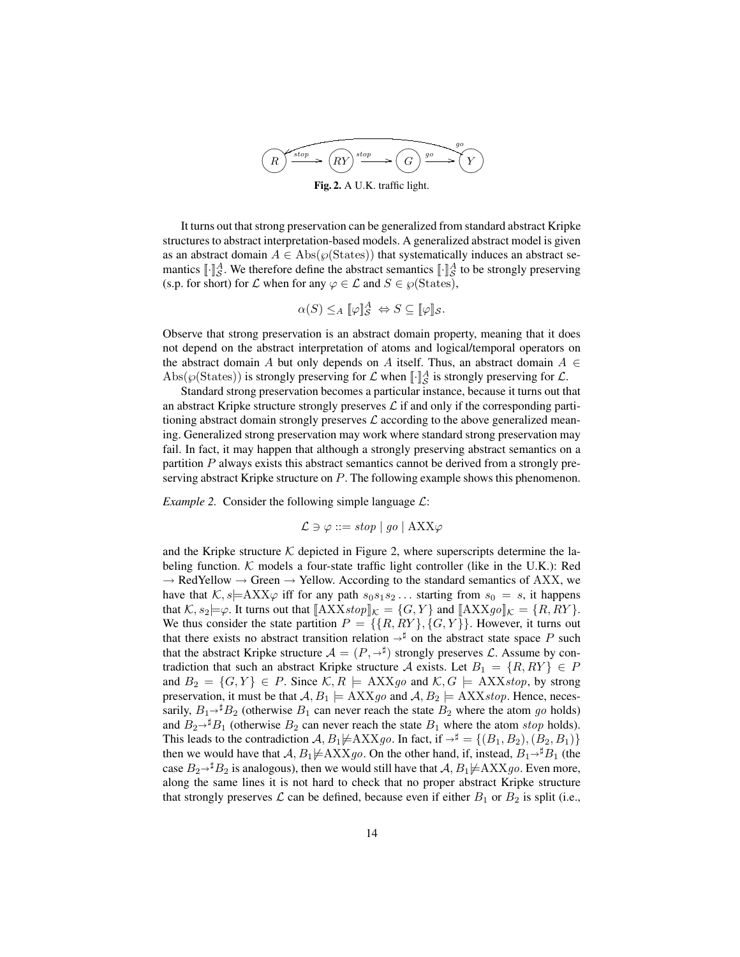

It turns out that strong preservation can be generalized from standard abstract Kripke structures to abstract interpretation-based models. A generalized abstract model is given as an abstract domain  $A \in \text{Abs}(\wp(\text{States}))$  that systematically induces an abstract semantics  $[\![\cdot]\!]_S^A$ . We therefore define the abstract semantics  $[\![\cdot]\!]_S^A$  to be strongly preserving (s.p. for short) for  $\mathcal L$  when for any  $\varphi \in \mathcal L$  and  $S \in \varphi(\text{States})$ ,

$$
\alpha(S) \leq_A [\![\varphi]\!]_S^A \Leftrightarrow S \subseteq [\![\varphi]\!]_S.
$$

Observe that strong preservation is an abstract domain property, meaning that it does not depend on the abstract interpretation of atoms and logical/temporal operators on the abstract domain A but only depends on A itself. Thus, an abstract domain  $A \in$ Abs( $\wp(\text{States})$ ) is strongly preserving for  $\mathcal L$  when  $\llbracket \cdot \rrbracket_{\mathcal S}^A$  is strongly preserving for  $\mathcal L$ .

Standard strong preservation becomes a particular instance, because it turns out that an abstract Kripke structure strongly preserves  $\mathcal L$  if and only if the corresponding partitioning abstract domain strongly preserves  $\mathcal L$  according to the above generalized meaning. Generalized strong preservation may work where standard strong preservation may fail. In fact, it may happen that although a strongly preserving abstract semantics on a partition  $P$  always exists this abstract semantics cannot be derived from a strongly preserving abstract Kripke structure on P. The following example shows this phenomenon.

*Example 2.* Consider the following simple language  $\mathcal{L}$ :

$$
\mathcal{L} \ni \varphi ::= stop \mid go \mid \text{AXX}\varphi
$$

and the Kripke structure  $K$  depicted in Figure 2, where superscripts determine the labeling function.  $K$  models a four-state traffic light controller (like in the U.K.): Red  $\rightarrow$  RedYellow  $\rightarrow$  Green  $\rightarrow$  Yellow. According to the standard semantics of AXX, we have that  $K, s \models AXX\varphi$  iff for any path  $s_0s_1s_2 \dots$  starting from  $s_0 = s$ , it happens that  $K, s_2 \models \varphi$ . It turns out that  $[\![\text{AXX} \mathit{stop}]\!]_{\mathcal{K}} = \{G, Y\}$  and  $[\![\text{AXX} \mathit{go}]\!]_{\mathcal{K}} = \{R, RY\}$ . We thus consider the state partition  $P = \{\{R, RY\}, \{G, Y\}\}\.$  However, it turns out that there exists no abstract transition relation  $\rightarrow^{\sharp}$  on the abstract state space P such that the abstract Kripke structure  $\mathcal{A} = (P, \rightarrow^{\sharp})$  strongly preserves  $\mathcal{L}$ . Assume by con-<br>tradiction that such an abstract Kripke structure A exists Let  $P_1 = \{P_1 P_2 V\} \subset P$ tradiction that such an abstract Kripke structure A exists. Let  $B_1 = \{R, RY\} \in P$ and  $B_2 = \{G, Y\} \in P$ . Since  $\mathcal{K}, R \models AXXgo$  and  $\mathcal{K}, G \models AXXstop$ , by strong preservation, it must be that  $A, B_1 \models AXXgo$  and  $A, B_2 \models AXXstop$ . Hence, necessarily,  $B_1\rightarrow B_2$  (otherwise  $B_1$  can never reach the state  $B_2$  where the atom go holds) and  $B_2\rightarrow B_1$  (otherwise  $B_2$  can never reach the state  $B_1$  where the atom stop holds). This leads to the contradiction  $A, B_1 \not\models AXXgo$ . In fact, if  $\rightarrow^{\sharp} = \{(B_1, B_2), (B_2, B_1)\}\$ then we would have that  $A, B_1 \neq AXXg$ . On the other hand, if, instead,  $B_1 \rightarrow \mathbb{Z}B_1$  (the case  $B_2\rightarrow^{\sharp}B_2$  is analogous), then we would still have that  $A, B_1\not\models AXXgo$ . Even more, along the same lines it is not hard to check that no proper abstract Kripke structure that strongly preserves  $\mathcal L$  can be defined, because even if either  $B_1$  or  $B_2$  is split (i.e.,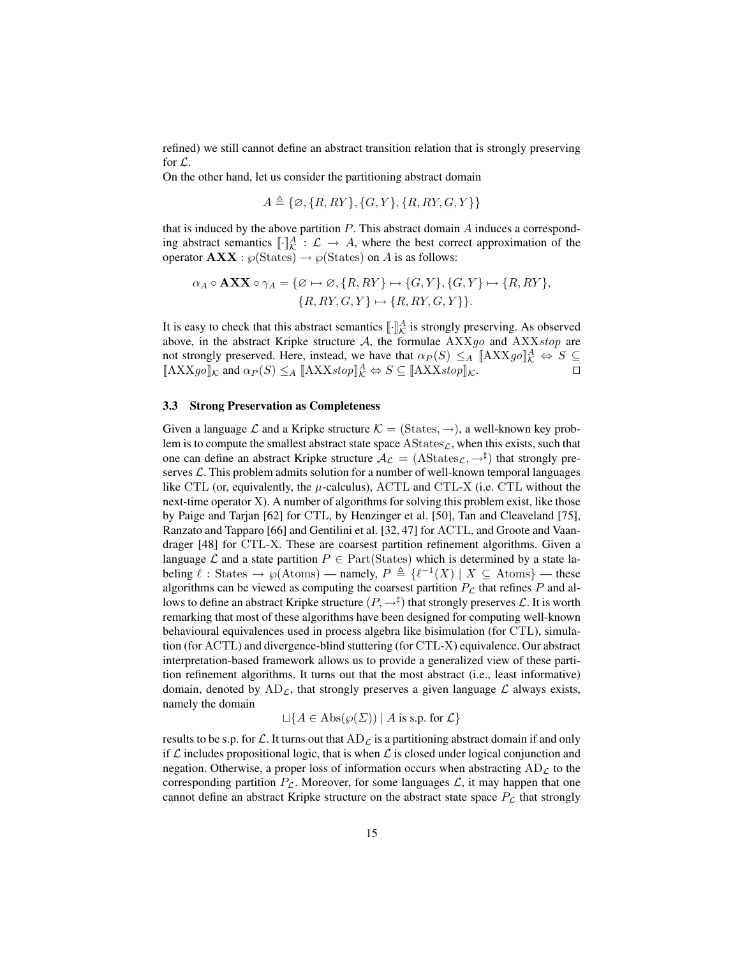refined) we still cannot define an abstract transition relation that is strongly preserving for L.

On the other hand, let us consider the partitioning abstract domain

$$
A \triangleq \{ \varnothing, \{R, RY\}, \{G, Y\}, \{R, RY, G, Y\} \}
$$

that is induced by the above partition  $P$ . This abstract domain  $A$  induces a corresponding abstract semantics  $[\![\cdot]\!]_K^A : \mathcal{L} \to A$ , where the best correct approximation of the operator  $\mathbf{AXX} : \wp(\text{States}) \to \wp(\text{States})$  on A is as follows:

$$
\alpha_A \circ \mathbf{AXX} \circ \gamma_A = \{ \varnothing \mapsto \varnothing, \{R, RY\} \mapsto \{G, Y\}, \{G, Y\} \mapsto \{R, RY\}, \{R, RY, G, Y\} \mapsto \{R, RY, G, Y\}.
$$

It is easy to check that this abstract semantics  $\llbracket \cdot \rrbracket_{\mathcal{K}}^A$  is strongly preserving. As observed above, in the abstract Kripke structure  $A$ , the formulae  $AXXg$  and  $AXXstop$  are not strongly preserved. Here, instead, we have that  $\alpha_P(S) \leq_A [\![\text{AXX} g o ]\!]_K^A \Leftrightarrow S \subseteq$  $[\mathbf{A}XXg\mathbf{o}]|\mathbf{k}$  and  $\alpha_P(S) \leq_A [\mathbf{A}XXstop] \times \mathcal{A} \Leftrightarrow S \subseteq [\mathbf{A}XXstop] \times \mathcal{A}$ 

## 3.3 Strong Preservation as Completeness

Given a language L and a Kripke structure  $\mathcal{K} = (\text{States}, \rightarrow)$ , a well-known key problem is to compute the smallest abstract state space  $\text{AStates}_\mathcal{L}$ , when this exists, such that one can define an abstract Kripke structure  $\mathcal{A}_{\mathcal{L}} = ( \text{AStates}_{\mathcal{L}}, \rightarrow^{\sharp} )$  that strongly preserves  $\mathcal{L}$ . This problem admits solution for a number of well-known temporal languages like CTL (or, equivalently, the  $\mu$ -calculus), ACTL and CTL-X (i.e. CTL without the next-time operator X). A number of algorithms for solving this problem exist, like those by Paige and Tarjan [62] for CTL, by Henzinger et al. [50], Tan and Cleaveland [75], Ranzato and Tapparo [66] and Gentilini et al. [32, 47] for ACTL, and Groote and Vaandrager [48] for CTL-X. These are coarsest partition refinement algorithms. Given a language  $\mathcal L$  and a state partition  $P \in Part(States)$  which is determined by a state labeling  $\ell$  : States  $\rightarrow \wp(At)$  – namely,  $P \triangleq \{ \ell^{-1}(X) | X \subseteq \text{Atoms} \}$  — these algorithms can be viewed as computing the coarsest partition  $P_{\mathcal{L}}$  that refines P and allows to define an abstract Kripke structure  $(P, \rightarrow^{\sharp})$  that strongly preserves  $\mathcal{L}.$  It is worth remarking that most of these algorithms have been designed for computing well-known behavioural equivalences used in process algebra like bisimulation (for CTL), simulation (for ACTL) and divergence-blind stuttering (for CTL-X) equivalence. Our abstract interpretation-based framework allows us to provide a generalized view of these partition refinement algorithms. It turns out that the most abstract (i.e., least informative) domain, denoted by  $AD_{\mathcal{L}}$ , that strongly preserves a given language  $\mathcal{L}$  always exists, namely the domain

$$
\Box\{A \in \text{Abs}(\wp(\Sigma)) \mid A \text{ is s.p. for } \mathcal{L}\}\
$$

results to be s.p. for  $\mathcal L$ . It turns out that  $AD_{\mathcal L}$  is a partitioning abstract domain if and only if  $\mathcal L$  includes propositional logic, that is when  $\mathcal L$  is closed under logical conjunction and negation. Otherwise, a proper loss of information occurs when abstracting  $AD_{\mathcal{L}}$  to the corresponding partition  $P_{\mathcal{L}}$ . Moreover, for some languages  $\mathcal{L}$ , it may happen that one cannot define an abstract Kripke structure on the abstract state space  $P_{\mathcal{L}}$  that strongly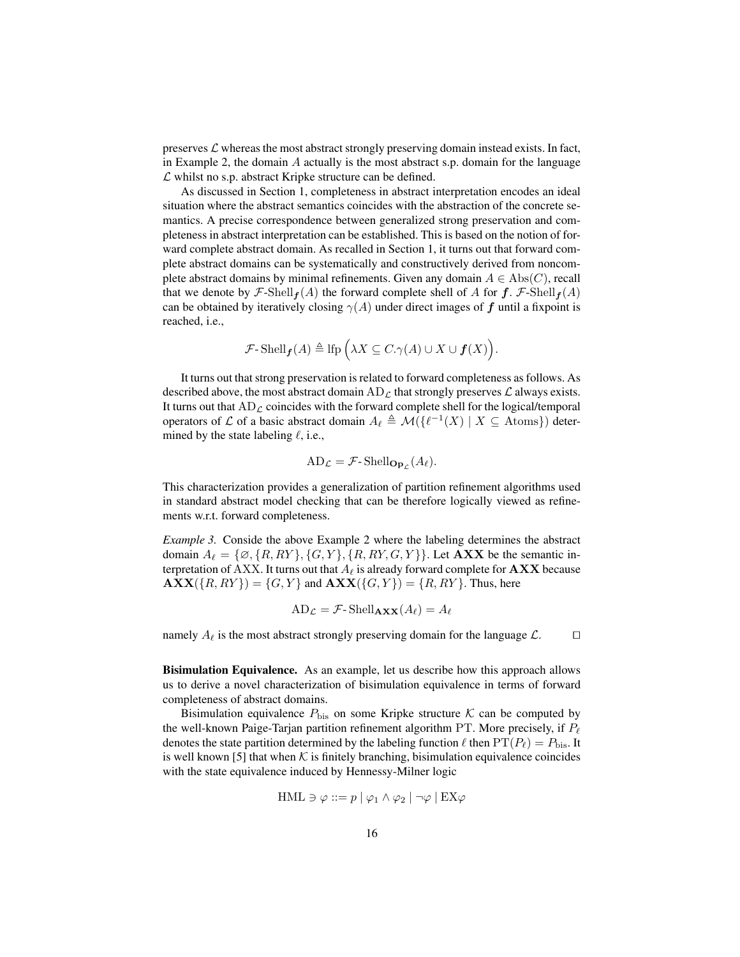preserves  $\mathcal L$  whereas the most abstract strongly preserving domain instead exists. In fact, in Example 2, the domain  $\tilde{A}$  actually is the most abstract s.p. domain for the language  $\mathcal L$  whilst no s.p. abstract Kripke structure can be defined.

As discussed in Section 1, completeness in abstract interpretation encodes an ideal situation where the abstract semantics coincides with the abstraction of the concrete semantics. A precise correspondence between generalized strong preservation and completeness in abstract interpretation can be established. This is based on the notion of forward complete abstract domain. As recalled in Section 1, it turns out that forward complete abstract domains can be systematically and constructively derived from noncomplete abstract domains by minimal refinements. Given any domain  $A \in \text{Abs}(C)$ , recall that we denote by  $\mathcal{F}\text{-Shell}_{f}(A)$  the forward complete shell of A for  $f$ .  $\mathcal{F}\text{-Shell}_{f}(A)$ can be obtained by iteratively closing  $\gamma(A)$  under direct images of f until a fixpoint is reached, i.e.,

$$
\mathcal{F}\text{-}\mathop{\rm Shell}\nolimits_{\boldsymbol{f}}(A) \triangleq \mathop{\rm lfp}\nolimits\Big(\lambda X \subseteq C.\gamma(A) \cup X \cup \boldsymbol{f}(X)\Big).
$$

It turns out that strong preservation is related to forward completeness as follows. As described above, the most abstract domain  $AD_{\mathcal{L}}$  that strongly preserves  $\mathcal{L}$  always exists. It turns out that  $AD_{\mathcal{L}}$  coincides with the forward complete shell for the logical/temporal operators of L of a basic abstract domain  $A_{\ell} \triangleq \mathcal{M}(\{\ell^{-1}(X) \mid X \subseteq \text{Atoms}\})$  determined by the state labeling  $\ell$ , i.e.,

$$
AD_{\mathcal{L}} = \mathcal{F}\text{-} Shell_{\mathbf{Op}_{\mathcal{L}}}(A_{\ell}).
$$

This characterization provides a generalization of partition refinement algorithms used in standard abstract model checking that can be therefore logically viewed as refinements w.r.t. forward completeness.

*Example 3.* Conside the above Example 2 where the labeling determines the abstract domain  $A_\ell = \{ \emptyset, \{R, RY\}, \{G, Y\}, \{R, RY, G, Y\} \}$ . Let **AXX** be the semantic interpretation of AXX. It turns out that  $A_\ell$  is already forward complete for **AXX** because  $\mathbf{AXX}(\{R, RY\}) = \{G, Y\}$  and  $\mathbf{AXX}(\{G, Y\}) = \{R, RY\}$ . Thus, here

$$
AD_{\mathcal{L}} = \mathcal{F}\text{-} \operatorname{Shell}_{\mathbf{AXX}}(A_{\ell}) = A_{\ell}
$$

namely  $A_\ell$  is the most abstract strongly preserving domain for the language  $\mathcal{L}$ .  $\Box$ 

Bisimulation Equivalence. As an example, let us describe how this approach allows us to derive a novel characterization of bisimulation equivalence in terms of forward completeness of abstract domains.

Bisimulation equivalence  $P_{\text{bis}}$  on some Kripke structure  $K$  can be computed by the well-known Paige-Tarjan partition refinement algorithm PT. More precisely, if  $P_\ell$ denotes the state partition determined by the labeling function  $\ell$  then  $PT(P_\ell) = P_{\text{bis}}$ . It is well known [5] that when  $K$  is finitely branching, bisimulation equivalence coincides with the state equivalence induced by Hennessy-Milner logic

$$
\mathrm{HML} \ni \varphi ::= p \mid \varphi_1 \land \varphi_2 \mid \neg \varphi \mid \mathrm{EX} \varphi
$$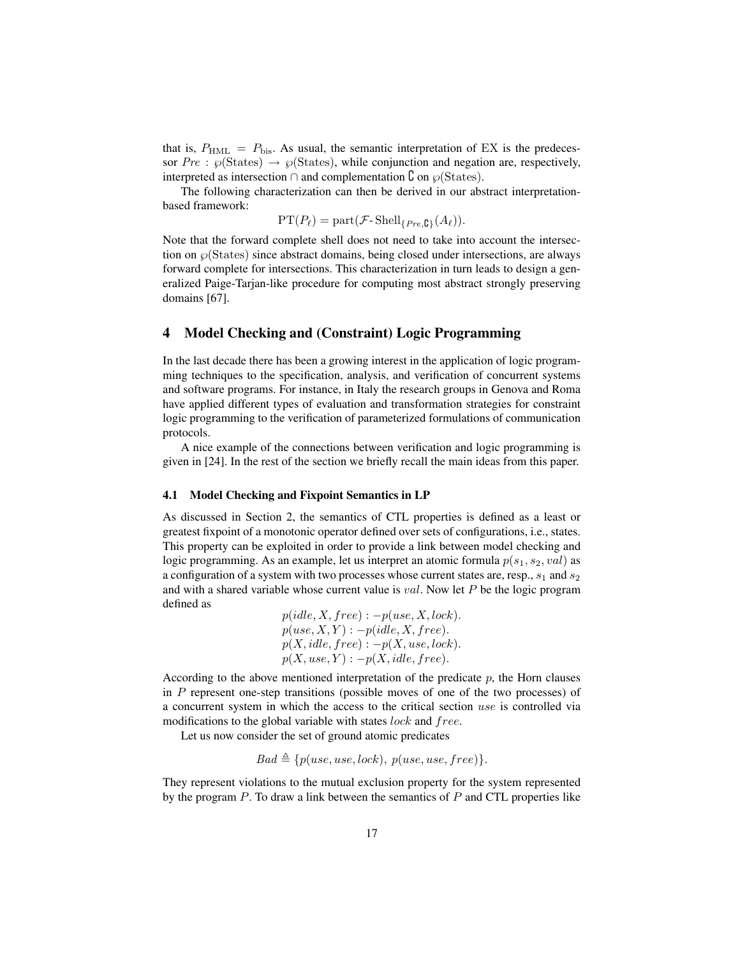that is,  $P_{\text{HML}} = P_{\text{bis}}$ . As usual, the semantic interpretation of EX is the predecessor  $Pre : \wp(\text{States}) \to \wp(\text{States})$ , while conjunction and negation are, respectively, interpreted as intersection ∩ and complementation  $\mathcal{C}$  on  $\wp$ (States).

The following characterization can then be derived in our abstract interpretationbased framework:

$$
PT(P_{\ell}) = part(\mathcal{F}\text{-}\mathrm{Shell}_{\{Pre,\mathbf{C}\}}(A_{\ell})).
$$

Note that the forward complete shell does not need to take into account the intersection on  $\mathcal{O}(States)$  since abstract domains, being closed under intersections, are always forward complete for intersections. This characterization in turn leads to design a generalized Paige-Tarjan-like procedure for computing most abstract strongly preserving domains [67].

# 4 Model Checking and (Constraint) Logic Programming

In the last decade there has been a growing interest in the application of logic programming techniques to the specification, analysis, and verification of concurrent systems and software programs. For instance, in Italy the research groups in Genova and Roma have applied different types of evaluation and transformation strategies for constraint logic programming to the verification of parameterized formulations of communication protocols.

A nice example of the connections between verification and logic programming is given in [24]. In the rest of the section we briefly recall the main ideas from this paper.

## 4.1 Model Checking and Fixpoint Semantics in LP

As discussed in Section 2, the semantics of CTL properties is defined as a least or greatest fixpoint of a monotonic operator defined over sets of configurations, i.e., states. This property can be exploited in order to provide a link between model checking and logic programming. As an example, let us interpret an atomic formula  $p(s_1, s_2, val)$  as a configuration of a system with two processes whose current states are, resp.,  $s_1$  and  $s_2$ and with a shared variable whose current value is  $val$ . Now let P be the logic program defined as

$$
p(idle, X, free): -p(use, X, lock).
$$
  
\n
$$
p(use, X, Y): -p(idle, X, free).
$$
  
\n
$$
p(X, idle, free): -p(X, use, lock).
$$
  
\n
$$
p(X, use, Y): -p(X, idle, free).
$$

According to the above mentioned interpretation of the predicate  $p$ , the Horn clauses in  $P$  represent one-step transitions (possible moves of one of the two processes) of a concurrent system in which the access to the critical section use is controlled via modifications to the global variable with states lock and free.

Let us now consider the set of ground atomic predicates

$$
Bad \triangleq \{p(use, use, lock), p(use, use, free)\}.
$$

They represent violations to the mutual exclusion property for the system represented by the program  $P$ . To draw a link between the semantics of  $P$  and CTL properties like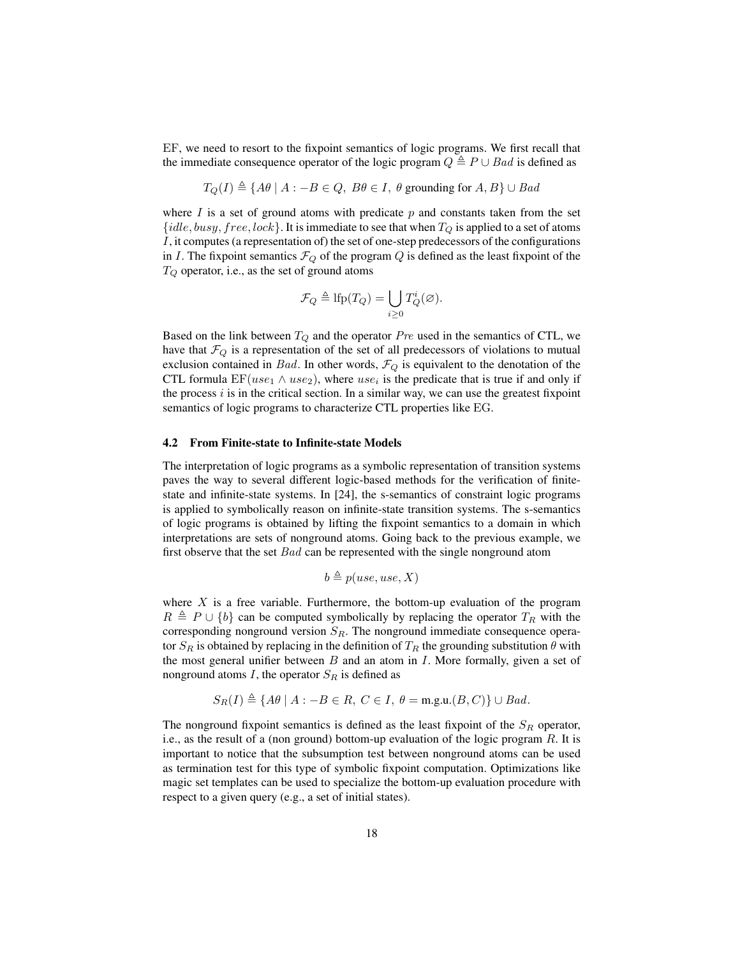EF, we need to resort to the fixpoint semantics of logic programs. We first recall that the immediate consequence operator of the logic program  $Q \triangleq P \cup Bad$  is defined as

$$
T_Q(I) \triangleq \{A\theta \mid A : -B \in Q, B\theta \in I, \theta \text{ grounding for } A, B\} \cup Bad
$$

where  $I$  is a set of ground atoms with predicate  $p$  and constants taken from the set  ${idle, busy, free, lock}$ . It is immediate to see that when  $T_Q$  is applied to a set of atoms I, it computes (a representation of) the set of one-step predecessors of the configurations in I. The fixpoint semantics  $\mathcal{F}_Q$  of the program Q is defined as the least fixpoint of the  $T_Q$  operator, i.e., as the set of ground atoms

$$
\mathcal{F}_Q \triangleq \text{lfp}(T_Q) = \bigcup_{i \geq 0} T_Q^i(\emptyset).
$$

Based on the link between  $T_Q$  and the operator  $Pre$  used in the semantics of CTL, we have that  $\mathcal{F}_Q$  is a representation of the set of all predecessors of violations to mutual exclusion contained in Bad. In other words,  $\mathcal{F}_Q$  is equivalent to the denotation of the CTL formula  $\mathrm{EF}(use_1 \wedge use_2)$ , where  $use_i$  is the predicate that is true if and only if the process  $i$  is in the critical section. In a similar way, we can use the greatest fixpoint semantics of logic programs to characterize CTL properties like EG.

#### 4.2 From Finite-state to Infinite-state Models

The interpretation of logic programs as a symbolic representation of transition systems paves the way to several different logic-based methods for the verification of finitestate and infinite-state systems. In [24], the s-semantics of constraint logic programs is applied to symbolically reason on infinite-state transition systems. The s-semantics of logic programs is obtained by lifting the fixpoint semantics to a domain in which interpretations are sets of nonground atoms. Going back to the previous example, we first observe that the set  $Bad$  can be represented with the single nonground atom

$$
b \triangleq p(use, use, X)
$$

where  $X$  is a free variable. Furthermore, the bottom-up evaluation of the program  $R \triangleq P \cup \{b\}$  can be computed symbolically by replacing the operator  $T_R$  with the corresponding nonground version  $S_R$ . The nonground immediate consequence operator  $S_R$  is obtained by replacing in the definition of  $T_R$  the grounding substitution  $\theta$  with the most general unifier between  $B$  and an atom in  $I$ . More formally, given a set of nonground atoms I, the operator  $S_R$  is defined as

$$
S_R(I) \triangleq \{ A\theta \mid A : -B \in R, \ C \in I, \ \theta = \text{m.g.u.}(B, C) \} \cup Bad.
$$

The nonground fixpoint semantics is defined as the least fixpoint of the  $S_R$  operator, i.e., as the result of a (non ground) bottom-up evaluation of the logic program  $R$ . It is important to notice that the subsumption test between nonground atoms can be used as termination test for this type of symbolic fixpoint computation. Optimizations like magic set templates can be used to specialize the bottom-up evaluation procedure with respect to a given query (e.g., a set of initial states).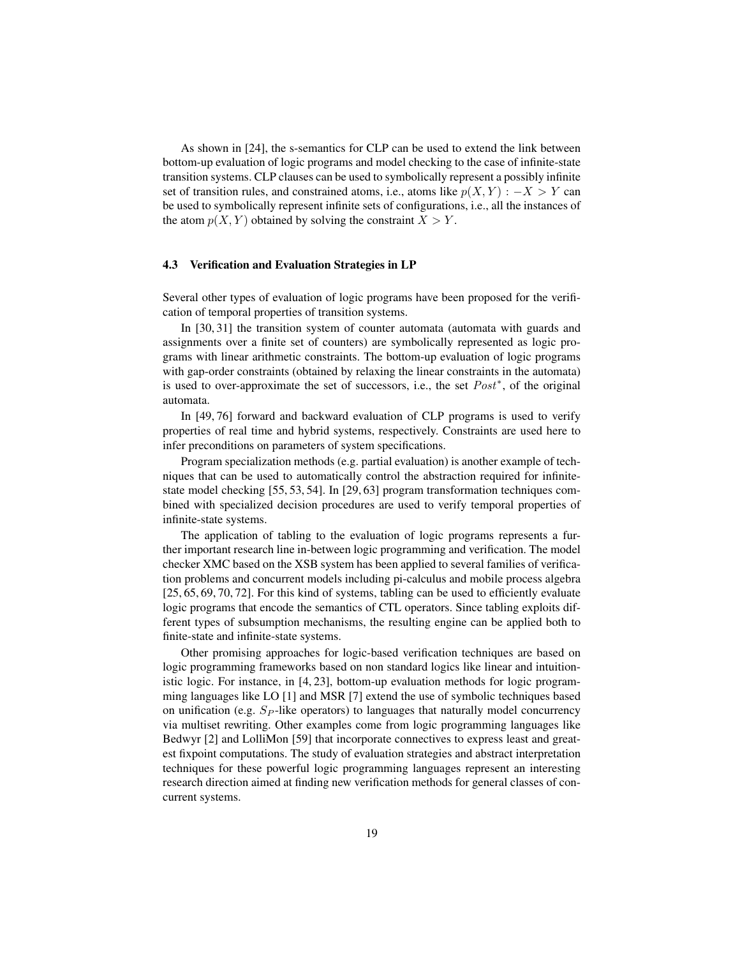As shown in [24], the s-semantics for CLP can be used to extend the link between bottom-up evaluation of logic programs and model checking to the case of infinite-state transition systems. CLP clauses can be used to symbolically represent a possibly infinite set of transition rules, and constrained atoms, i.e., atoms like  $p(X, Y) : -X > Y$  can be used to symbolically represent infinite sets of configurations, i.e., all the instances of the atom  $p(X, Y)$  obtained by solving the constraint  $X > Y$ .

## 4.3 Verification and Evaluation Strategies in LP

Several other types of evaluation of logic programs have been proposed for the verification of temporal properties of transition systems.

In [30, 31] the transition system of counter automata (automata with guards and assignments over a finite set of counters) are symbolically represented as logic programs with linear arithmetic constraints. The bottom-up evaluation of logic programs with gap-order constraints (obtained by relaxing the linear constraints in the automata) is used to over-approximate the set of successors, i.e., the set  $Post^*$ , of the original automata.

In [49, 76] forward and backward evaluation of CLP programs is used to verify properties of real time and hybrid systems, respectively. Constraints are used here to infer preconditions on parameters of system specifications.

Program specialization methods (e.g. partial evaluation) is another example of techniques that can be used to automatically control the abstraction required for infinitestate model checking [55, 53, 54]. In [29, 63] program transformation techniques combined with specialized decision procedures are used to verify temporal properties of infinite-state systems.

The application of tabling to the evaluation of logic programs represents a further important research line in-between logic programming and verification. The model checker XMC based on the XSB system has been applied to several families of verification problems and concurrent models including pi-calculus and mobile process algebra [25, 65, 69, 70, 72]. For this kind of systems, tabling can be used to efficiently evaluate logic programs that encode the semantics of CTL operators. Since tabling exploits different types of subsumption mechanisms, the resulting engine can be applied both to finite-state and infinite-state systems.

Other promising approaches for logic-based verification techniques are based on logic programming frameworks based on non standard logics like linear and intuitionistic logic. For instance, in [4, 23], bottom-up evaluation methods for logic programming languages like LO [1] and MSR [7] extend the use of symbolic techniques based on unification (e.g.  $Sp$ -like operators) to languages that naturally model concurrency via multiset rewriting. Other examples come from logic programming languages like Bedwyr [2] and LolliMon [59] that incorporate connectives to express least and greatest fixpoint computations. The study of evaluation strategies and abstract interpretation techniques for these powerful logic programming languages represent an interesting research direction aimed at finding new verification methods for general classes of concurrent systems.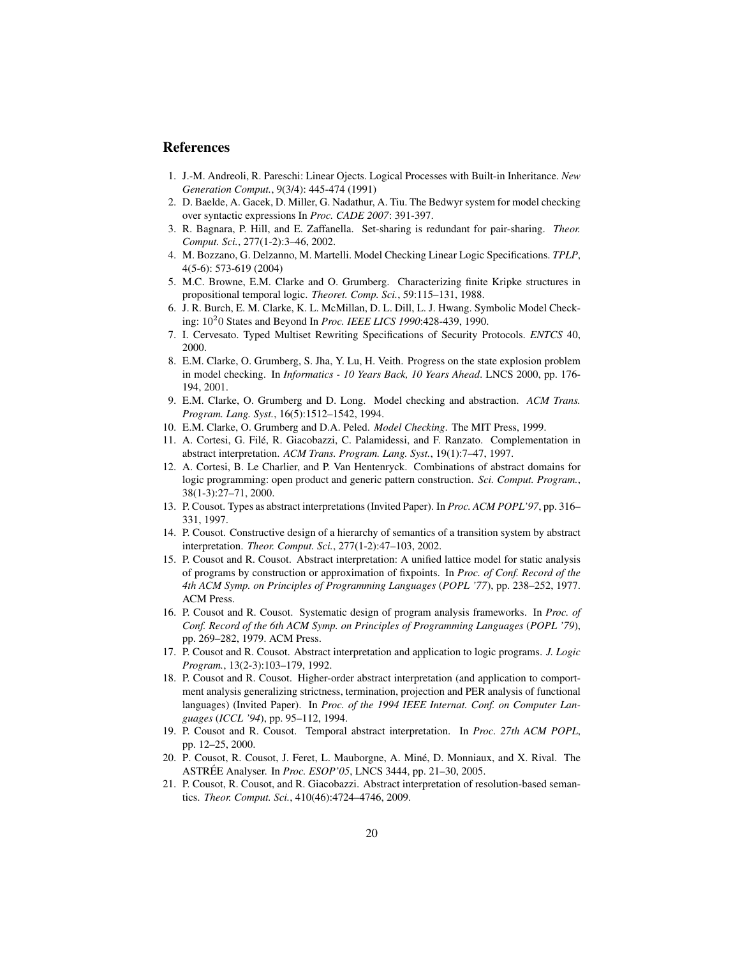# References

- 1. J.-M. Andreoli, R. Pareschi: Linear Ojects. Logical Processes with Built-in Inheritance. *New Generation Comput.*, 9(3/4): 445-474 (1991)
- 2. D. Baelde, A. Gacek, D. Miller, G. Nadathur, A. Tiu. The Bedwyr system for model checking over syntactic expressions In *Proc. CADE 2007*: 391-397.
- 3. R. Bagnara, P. Hill, and E. Zaffanella. Set-sharing is redundant for pair-sharing. *Theor. Comput. Sci.*, 277(1-2):3–46, 2002.
- 4. M. Bozzano, G. Delzanno, M. Martelli. Model Checking Linear Logic Specifications. *TPLP*, 4(5-6): 573-619 (2004)
- 5. M.C. Browne, E.M. Clarke and O. Grumberg. Characterizing finite Kripke structures in propositional temporal logic. *Theoret. Comp. Sci.*, 59:115–131, 1988.
- 6. J. R. Burch, E. M. Clarke, K. L. McMillan, D. L. Dill, L. J. Hwang. Symbolic Model Checking: 10<sup>2</sup> 0 States and Beyond In *Proc. IEEE LICS 1990*:428-439, 1990.
- 7. I. Cervesato. Typed Multiset Rewriting Specifications of Security Protocols. *ENTCS* 40, 2000.
- 8. E.M. Clarke, O. Grumberg, S. Jha, Y. Lu, H. Veith. Progress on the state explosion problem in model checking. In *Informatics - 10 Years Back, 10 Years Ahead*. LNCS 2000, pp. 176- 194, 2001.
- 9. E.M. Clarke, O. Grumberg and D. Long. Model checking and abstraction. *ACM Trans. Program. Lang. Syst.*, 16(5):1512–1542, 1994.
- 10. E.M. Clarke, O. Grumberg and D.A. Peled. *Model Checking*. The MIT Press, 1999.
- 11. A. Cortesi, G. File, R. Giacobazzi, C. Palamidessi, and F. Ranzato. Complementation in ´ abstract interpretation. *ACM Trans. Program. Lang. Syst.*, 19(1):7–47, 1997.
- 12. A. Cortesi, B. Le Charlier, and P. Van Hentenryck. Combinations of abstract domains for logic programming: open product and generic pattern construction. *Sci. Comput. Program.*, 38(1-3):27–71, 2000.
- 13. P. Cousot. Types as abstract interpretations (Invited Paper). In *Proc. ACM POPL'97*, pp. 316– 331, 1997.
- 14. P. Cousot. Constructive design of a hierarchy of semantics of a transition system by abstract interpretation. *Theor. Comput. Sci.*, 277(1-2):47–103, 2002.
- 15. P. Cousot and R. Cousot. Abstract interpretation: A unified lattice model for static analysis of programs by construction or approximation of fixpoints. In *Proc. of Conf. Record of the 4th ACM Symp. on Principles of Programming Languages* (*POPL '77*), pp. 238–252, 1977. ACM Press.
- 16. P. Cousot and R. Cousot. Systematic design of program analysis frameworks. In *Proc. of Conf. Record of the 6th ACM Symp. on Principles of Programming Languages* (*POPL '79*), pp. 269–282, 1979. ACM Press.
- 17. P. Cousot and R. Cousot. Abstract interpretation and application to logic programs. *J. Logic Program.*, 13(2-3):103–179, 1992.
- 18. P. Cousot and R. Cousot. Higher-order abstract interpretation (and application to comportment analysis generalizing strictness, termination, projection and PER analysis of functional languages) (Invited Paper). In *Proc. of the 1994 IEEE Internat. Conf. on Computer Languages* (*ICCL '94*), pp. 95–112, 1994.
- 19. P. Cousot and R. Cousot. Temporal abstract interpretation. In *Proc. 27th ACM POPL*, pp. 12–25, 2000.
- 20. P. Cousot, R. Cousot, J. Feret, L. Mauborgne, A. Mine, D. Monniaux, and X. Rival. The ´ ASTRÉE Analyser. In *Proc. ESOP'05*, LNCS 3444, pp. 21–30, 2005.
- 21. P. Cousot, R. Cousot, and R. Giacobazzi. Abstract interpretation of resolution-based semantics. *Theor. Comput. Sci.*, 410(46):4724–4746, 2009.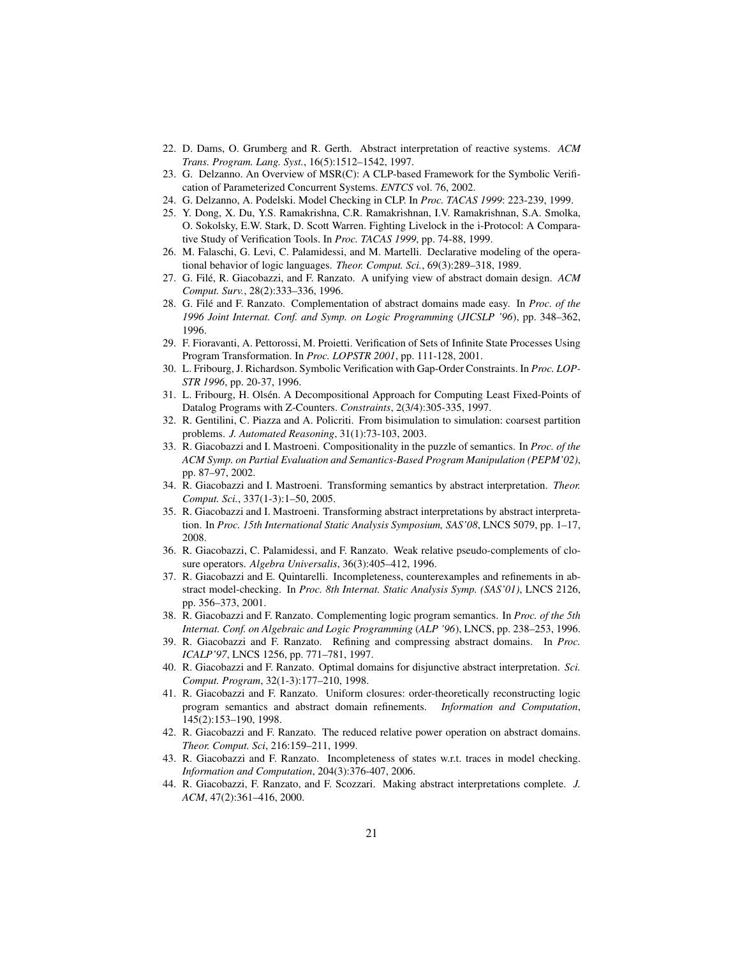- 22. D. Dams, O. Grumberg and R. Gerth. Abstract interpretation of reactive systems. *ACM Trans. Program. Lang. Syst.*, 16(5):1512–1542, 1997.
- 23. G. Delzanno. An Overview of MSR(C): A CLP-based Framework for the Symbolic Verification of Parameterized Concurrent Systems. *ENTCS* vol. 76, 2002.
- 24. G. Delzanno, A. Podelski. Model Checking in CLP. In *Proc. TACAS 1999*: 223-239, 1999.
- 25. Y. Dong, X. Du, Y.S. Ramakrishna, C.R. Ramakrishnan, I.V. Ramakrishnan, S.A. Smolka, O. Sokolsky, E.W. Stark, D. Scott Warren. Fighting Livelock in the i-Protocol: A Comparative Study of Verification Tools. In *Proc. TACAS 1999*, pp. 74-88, 1999.
- 26. M. Falaschi, G. Levi, C. Palamidessi, and M. Martelli. Declarative modeling of the operational behavior of logic languages. *Theor. Comput. Sci.*, 69(3):289–318, 1989.
- 27. G. Filé, R. Giacobazzi, and F. Ranzato. A unifying view of abstract domain design.  $ACM$ *Comput. Surv.*, 28(2):333–336, 1996.
- 28. G. Filé and F. Ranzato. Complementation of abstract domains made easy. In *Proc. of the 1996 Joint Internat. Conf. and Symp. on Logic Programming* (*JICSLP '96*), pp. 348–362, 1996.
- 29. F. Fioravanti, A. Pettorossi, M. Proietti. Verification of Sets of Infinite State Processes Using Program Transformation. In *Proc. LOPSTR 2001*, pp. 111-128, 2001.
- 30. L. Fribourg, J. Richardson. Symbolic Verification with Gap-Order Constraints. In *Proc. LOP-STR 1996*, pp. 20-37, 1996.
- 31. L. Fribourg, H. Olsen. A Decompositional Approach for Computing Least Fixed-Points of ´ Datalog Programs with Z-Counters. *Constraints*, 2(3/4):305-335, 1997.
- 32. R. Gentilini, C. Piazza and A. Policriti. From bisimulation to simulation: coarsest partition problems. *J. Automated Reasoning*, 31(1):73-103, 2003.
- 33. R. Giacobazzi and I. Mastroeni. Compositionality in the puzzle of semantics. In *Proc. of the ACM Symp. on Partial Evaluation and Semantics-Based Program Manipulation (PEPM'02)*, pp. 87–97, 2002.
- 34. R. Giacobazzi and I. Mastroeni. Transforming semantics by abstract interpretation. *Theor. Comput. Sci.*, 337(1-3):1–50, 2005.
- 35. R. Giacobazzi and I. Mastroeni. Transforming abstract interpretations by abstract interpretation. In *Proc. 15th International Static Analysis Symposium, SAS'08*, LNCS 5079, pp. 1–17, 2008.
- 36. R. Giacobazzi, C. Palamidessi, and F. Ranzato. Weak relative pseudo-complements of closure operators. *Algebra Universalis*, 36(3):405–412, 1996.
- 37. R. Giacobazzi and E. Quintarelli. Incompleteness, counterexamples and refinements in abstract model-checking. In *Proc. 8th Internat. Static Analysis Symp. (SAS'01)*, LNCS 2126, pp. 356–373, 2001.
- 38. R. Giacobazzi and F. Ranzato. Complementing logic program semantics. In *Proc. of the 5th Internat. Conf. on Algebraic and Logic Programming* (*ALP '96*), LNCS, pp. 238–253, 1996.
- 39. R. Giacobazzi and F. Ranzato. Refining and compressing abstract domains. In *Proc. ICALP'97*, LNCS 1256, pp. 771–781, 1997.
- 40. R. Giacobazzi and F. Ranzato. Optimal domains for disjunctive abstract interpretation. *Sci. Comput. Program*, 32(1-3):177–210, 1998.
- 41. R. Giacobazzi and F. Ranzato. Uniform closures: order-theoretically reconstructing logic program semantics and abstract domain refinements. *Information and Computation*, 145(2):153–190, 1998.
- 42. R. Giacobazzi and F. Ranzato. The reduced relative power operation on abstract domains. *Theor. Comput. Sci*, 216:159–211, 1999.
- 43. R. Giacobazzi and F. Ranzato. Incompleteness of states w.r.t. traces in model checking. *Information and Computation*, 204(3):376-407, 2006.
- 44. R. Giacobazzi, F. Ranzato, and F. Scozzari. Making abstract interpretations complete. *J. ACM*, 47(2):361–416, 2000.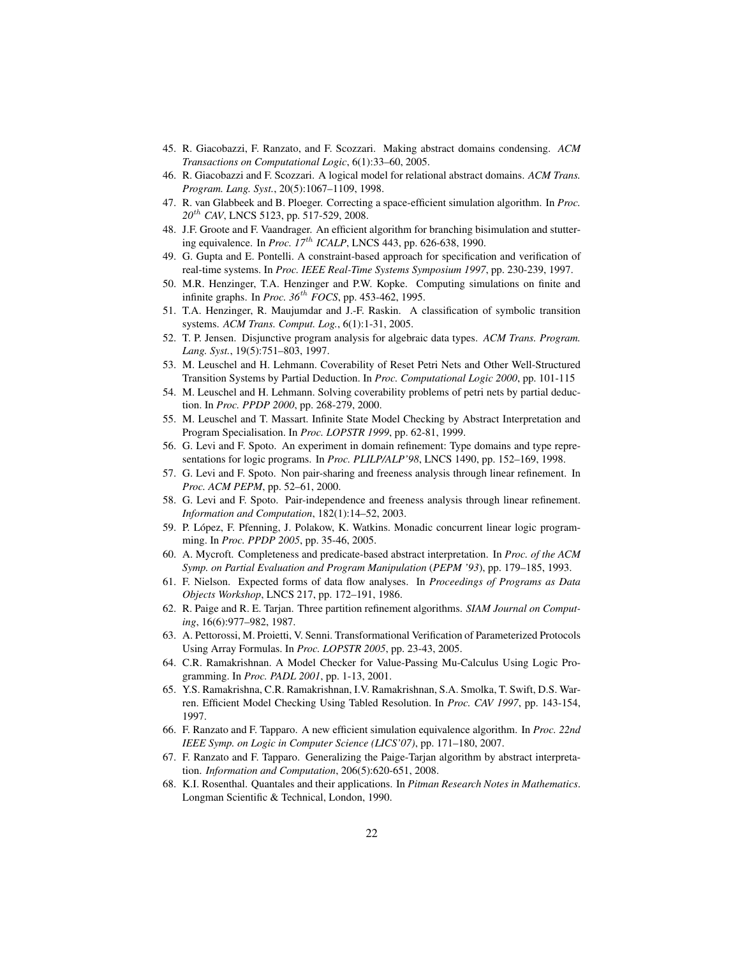- 45. R. Giacobazzi, F. Ranzato, and F. Scozzari. Making abstract domains condensing. *ACM Transactions on Computational Logic*, 6(1):33–60, 2005.
- 46. R. Giacobazzi and F. Scozzari. A logical model for relational abstract domains. *ACM Trans. Program. Lang. Syst.*, 20(5):1067–1109, 1998.
- 47. R. van Glabbeek and B. Ploeger. Correcting a space-efficient simulation algorithm. In *Proc. 20*th *CAV*, LNCS 5123, pp. 517-529, 2008.
- 48. J.F. Groote and F. Vaandrager. An efficient algorithm for branching bisimulation and stuttering equivalence. In *Proc. 17*th *ICALP*, LNCS 443, pp. 626-638, 1990.
- 49. G. Gupta and E. Pontelli. A constraint-based approach for specification and verification of real-time systems. In *Proc. IEEE Real-Time Systems Symposium 1997*, pp. 230-239, 1997.
- 50. M.R. Henzinger, T.A. Henzinger and P.W. Kopke. Computing simulations on finite and infinite graphs. In *Proc. 36*th *FOCS*, pp. 453-462, 1995.
- 51. T.A. Henzinger, R. Maujumdar and J.-F. Raskin. A classification of symbolic transition systems. *ACM Trans. Comput. Log.*, 6(1):1-31, 2005.
- 52. T. P. Jensen. Disjunctive program analysis for algebraic data types. *ACM Trans. Program. Lang. Syst.*, 19(5):751–803, 1997.
- 53. M. Leuschel and H. Lehmann. Coverability of Reset Petri Nets and Other Well-Structured Transition Systems by Partial Deduction. In *Proc. Computational Logic 2000*, pp. 101-115
- 54. M. Leuschel and H. Lehmann. Solving coverability problems of petri nets by partial deduction. In *Proc. PPDP 2000*, pp. 268-279, 2000.
- 55. M. Leuschel and T. Massart. Infinite State Model Checking by Abstract Interpretation and Program Specialisation. In *Proc. LOPSTR 1999*, pp. 62-81, 1999.
- 56. G. Levi and F. Spoto. An experiment in domain refinement: Type domains and type representations for logic programs. In *Proc. PLILP/ALP'98*, LNCS 1490, pp. 152–169, 1998.
- 57. G. Levi and F. Spoto. Non pair-sharing and freeness analysis through linear refinement. In *Proc. ACM PEPM*, pp. 52–61, 2000.
- 58. G. Levi and F. Spoto. Pair-independence and freeness analysis through linear refinement. *Information and Computation*, 182(1):14–52, 2003.
- 59. P. Lopez, F. Pfenning, J. Polakow, K. Watkins. Monadic concurrent linear logic program- ´ ming. In *Proc. PPDP 2005*, pp. 35-46, 2005.
- 60. A. Mycroft. Completeness and predicate-based abstract interpretation. In *Proc. of the ACM Symp. on Partial Evaluation and Program Manipulation* (*PEPM '93*), pp. 179–185, 1993.
- 61. F. Nielson. Expected forms of data flow analyses. In *Proceedings of Programs as Data Objects Workshop*, LNCS 217, pp. 172–191, 1986.
- 62. R. Paige and R. E. Tarjan. Three partition refinement algorithms. *SIAM Journal on Computing*, 16(6):977–982, 1987.
- 63. A. Pettorossi, M. Proietti, V. Senni. Transformational Verification of Parameterized Protocols Using Array Formulas. In *Proc. LOPSTR 2005*, pp. 23-43, 2005.
- 64. C.R. Ramakrishnan. A Model Checker for Value-Passing Mu-Calculus Using Logic Programming. In *Proc. PADL 2001*, pp. 1-13, 2001.
- 65. Y.S. Ramakrishna, C.R. Ramakrishnan, I.V. Ramakrishnan, S.A. Smolka, T. Swift, D.S. Warren. Efficient Model Checking Using Tabled Resolution. In *Proc. CAV 1997*, pp. 143-154, 1997.
- 66. F. Ranzato and F. Tapparo. A new efficient simulation equivalence algorithm. In *Proc. 22nd IEEE Symp. on Logic in Computer Science (LICS'07)*, pp. 171–180, 2007.
- 67. F. Ranzato and F. Tapparo. Generalizing the Paige-Tarjan algorithm by abstract interpretation. *Information and Computation*, 206(5):620-651, 2008.
- 68. K.I. Rosenthal. Quantales and their applications. In *Pitman Research Notes in Mathematics*. Longman Scientific & Technical, London, 1990.